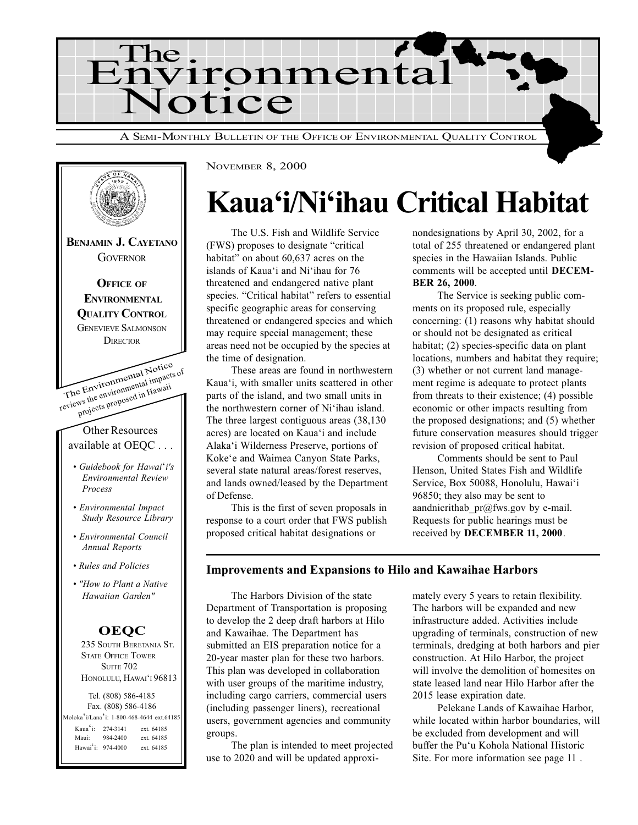



# Kaua'i/Ni'ihau Critical Habitat

The U.S. Fish and Wildlife Service (FWS) proposes to designate "critical habitat" on about 60,637 acres on the islands of Kaua'i and Ni'ihau for 76 threatened and endangered native plant species. "Critical habitat" refers to essential specific geographic areas for conserving threatened or endangered species and which may require special management; these areas need not be occupied by the species at the time of designation.

These areas are found in northwestern Kaua'i, with smaller units scattered in other parts of the island, and two small units in the northwestern corner of Ni'ihau island. The three largest contiguous areas (38,130 acres) are located on Kaua'i and include Alaka'i Wilderness Preserve, portions of Koke'e and Waimea Canyon State Parks, several state natural areas/forest reserves, and lands owned/leased by the Department of Defense.

This is the first of seven proposals in response to a court order that FWS publish proposed critical habitat designations or

nondesignations by April 30, 2002, for a total of 255 threatened or endangered plant species in the Hawaiian Islands. Public comments will be accepted until DECEM-BER 26, 2000.

The Service is seeking public comments on its proposed rule, especially concerning: (1) reasons why habitat should or should not be designated as critical habitat; (2) species-specific data on plant locations, numbers and habitat they require; (3) whether or not current land management regime is adequate to protect plants from threats to their existence; (4) possible economic or other impacts resulting from the proposed designations; and (5) whether future conservation measures should trigger revision of proposed critical habitat.

Comments should be sent to Paul Henson, United States Fish and Wildlife Service, Box 50088, Honolulu, Hawai'i 96850; they also may be sent to aandnicrithab  $pr@fws.gov$  by e-mail. Requests for public hearings must be received by DECEMBER 11, 2000.

#### Improvements and Expansions to Hilo and Kawaihae Harbors

The Harbors Division of the state Department of Transportation is proposing to develop the 2 deep draft harbors at Hilo and Kawaihae. The Department has submitted an EIS preparation notice for a 20-year master plan for these two harbors. This plan was developed in collaboration with user groups of the maritime industry, including cargo carriers, commercial users (including passenger liners), recreational users, government agencies and community groups.

The plan is intended to meet projected use to 2020 and will be updated approximately every 5 years to retain flexibility. The harbors will be expanded and new infrastructure added. Activities include upgrading of terminals, construction of new terminals, dredging at both harbors and pier construction. At Hilo Harbor, the project will involve the demolition of homesites on state leased land near Hilo Harbor after the 2015 lease expiration date.

Pelekane Lands of Kawaihae Harbor, while located within harbor boundaries, will be excluded from development and will buffer the Pu'u Kohola National Historic Site. For more information see page 11 .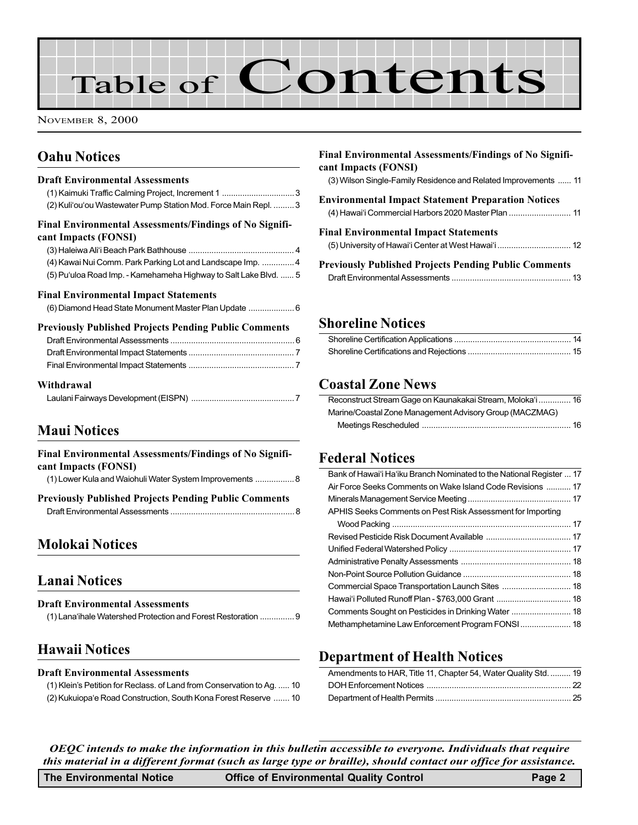# Table of Contents

NOVEMBER 8, 2000

# Oahu Notices

| <b>Draft Environmental Assessments</b><br>(1) Kaimuki Traffic Calming Project, Increment 1 3<br>(2) Kuli'ou'ou Wastewater Pump Station Mod. Force Main Repl.  3 |
|-----------------------------------------------------------------------------------------------------------------------------------------------------------------|
| Final Environmental Assessments/Findings of No Signifi-<br>cant Impacts (FONSI)                                                                                 |
|                                                                                                                                                                 |
| (4) Kawai Nui Comm. Park Parking Lot and Landscape Imp.  4                                                                                                      |
| (5) Pu'uloa Road Imp. - Kamehameha Highway to Salt Lake Blvd.  5                                                                                                |
| <b>Final Environmental Impact Statements</b>                                                                                                                    |
| (6) Diamond Head State Monument Master Plan Update  6                                                                                                           |
| <b>Previously Published Projects Pending Public Comments</b>                                                                                                    |
|                                                                                                                                                                 |
|                                                                                                                                                                 |
|                                                                                                                                                                 |
| Withdrawal                                                                                                                                                      |
|                                                                                                                                                                 |

## Maui Notices

# Molokai Notices

# Lanai Notices Draft Environmental Assessments (1) Lana'ihale Watershed Protection and Forest Restoration ............... 9

## Hawaii Notices

#### Draft Environmental Assessments

(1) Klein's Petition for Reclass. of Land from Conservation to Ag. ..... 10 (2) Kukuiopa'e Road Construction, South Kona Forest Reserve ....... 10

| <b>Final Environmental Assessments/Findings of No Signifi-</b><br>cant Impacts (FONSI)                           |
|------------------------------------------------------------------------------------------------------------------|
| (3) Wilson Single-Family Residence and Related Improvements  11                                                  |
| <b>Environmental Impact Statement Preparation Notices</b><br>(4) Hawai'i Commercial Harbors 2020 Master Plan  11 |
| <b>Final Environmental Impact Statements</b>                                                                     |
| <b>Previously Published Projects Pending Public Comments</b>                                                     |

### Shoreline Notices

### [Coastal Zone News](#page-15-0)

| Reconstruct Stream Gage on Kaunakakai Stream, Moloka'i  16 |
|------------------------------------------------------------|
| Marine/Coastal Zone Management Advisory Group (MACZMAG)    |
|                                                            |

### Federal Notices

| Bank of Hawai'i Ha'iku Branch Nominated to the National Register  17 |  |
|----------------------------------------------------------------------|--|
| Air Force Seeks Comments on Wake Island Code Revisions  17           |  |
|                                                                      |  |
| APHIS Seeks Comments on Pest Risk Assessment for Importing           |  |
|                                                                      |  |
|                                                                      |  |
|                                                                      |  |
|                                                                      |  |
|                                                                      |  |
|                                                                      |  |
|                                                                      |  |
| Comments Sought on Pesticides in Drinking Water  18                  |  |
| Methamphetamine Law Enforcement Program FONSI  18                    |  |
|                                                                      |  |

## Department of Health Notices

| Amendments to HAR, Title 11, Chapter 54, Water Quality Std.  19 |  |
|-----------------------------------------------------------------|--|
|                                                                 |  |
|                                                                 |  |

OEQC intends to make the information in this bulletin accessible to everyone. Individuals that require this material in a different format (such as large type or braille), should contact our office for assistance.

| <b>The Environmental Notice</b> | <b>Office of Environmental Quality Control</b> | Page 2 |
|---------------------------------|------------------------------------------------|--------|
|---------------------------------|------------------------------------------------|--------|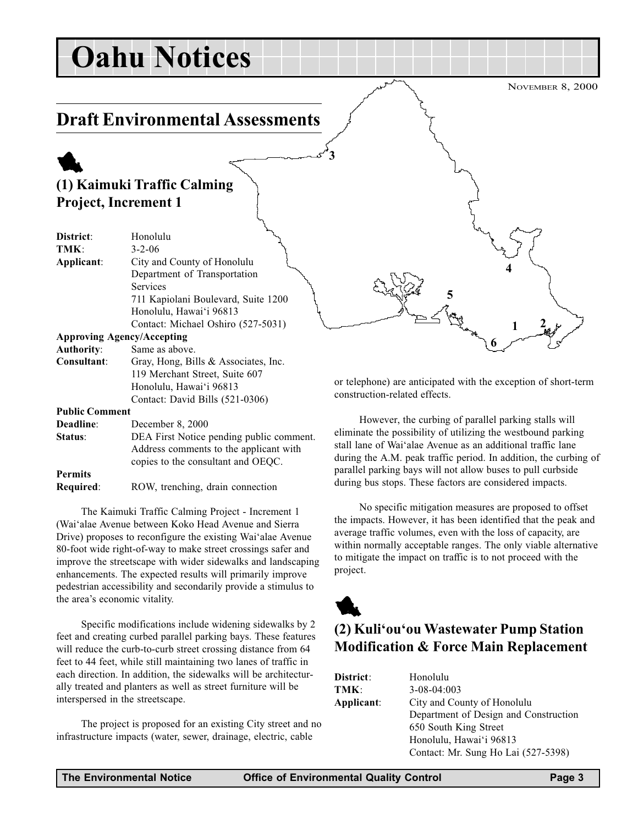# <span id="page-2-0"></span>Oahu Notices

# Draft Environmental Assessments

# 1 (1) Kaimuki Traffic Calming Project, Increment 1

| District:             | Honolulu                             |
|-----------------------|--------------------------------------|
| TMK:                  | $3 - 2 - 06$                         |
| Applicant:            | City and County of Honolulu          |
|                       | Department of Transportation         |
|                       | Services                             |
|                       | 711 Kapiolani Boulevard, Suite 1200  |
|                       | Honolulu, Hawai'i 96813              |
|                       | Contact: Michael Oshiro (527-5031)   |
|                       | <b>Approving Agency/Accepting</b>    |
| <b>Authority:</b>     | Same as above.                       |
| Consultant:           | Gray, Hong, Bills & Associates, Inc. |
|                       | 119 Merchant Street, Suite 607       |
|                       | Honolulu, Hawai'i 96813              |
|                       | Contact: David Bills (521-0306)      |
| <b>Public Comment</b> |                                      |

#### Deadline: December 8, 2000

| рсачние.         | DUUUHUU 0, ZUUU                          |
|------------------|------------------------------------------|
| Status:          | DEA First Notice pending public comment. |
|                  | Address comments to the applicant with   |
|                  | copies to the consultant and OEQC.       |
| <b>Permits</b>   |                                          |
| <b>Required:</b> | ROW, trenching, drain connection         |

The Kaimuki Traffic Calming Project - Increment 1 (Wai'alae Avenue between Koko Head Avenue and Sierra Drive) proposes to reconfigure the existing Wai'alae Avenue 80-foot wide right-of-way to make street crossings safer and improve the streetscape with wider sidewalks and landscaping enhancements. The expected results will primarily improve pedestrian accessibility and secondarily provide a stimulus to the area's economic vitality.

Specific modifications include widening sidewalks by 2 feet and creating curbed parallel parking bays. These features will reduce the curb-to-curb street crossing distance from 64 feet to 44 feet, while still maintaining two lanes of traffic in each direction. In addition, the sidewalks will be architecturally treated and planters as well as street furniture will be interspersed in the streetscape.

The project is proposed for an existing City street and no infrastructure impacts (water, sewer, drainage, electric, cable

or telephone) are anticipated with the exception of short-term construction-related effects.

5

NOVEMBER 8, 2000

 $1 \t 2$ 

4

6

However, the curbing of parallel parking stalls will eliminate the possibility of utilizing the westbound parking stall lane of Wai'alae Avenue as an additional traffic lane during the A.M. peak traffic period. In addition, the curbing of parallel parking bays will not allow buses to pull curbside during bus stops. These factors are considered impacts.

No specific mitigation measures are proposed to offset the impacts. However, it has been identified that the peak and average traffic volumes, even with the loss of capacity, are within normally acceptable ranges. The only viable alternative to mitigate the impact on traffic is to not proceed with the project.



3

# (2) Kuli'ou'ou Wastewater Pump Station Modification & Force Main Replacement

| District:  | Honolulu                              |
|------------|---------------------------------------|
| TMK:       | $3-08-04:003$                         |
| Applicant: | City and County of Honolulu           |
|            | Department of Design and Construction |
|            | 650 South King Street                 |
|            | Honolulu, Hawai'i 96813               |
|            | Contact: Mr. Sung Ho Lai (527-5398)   |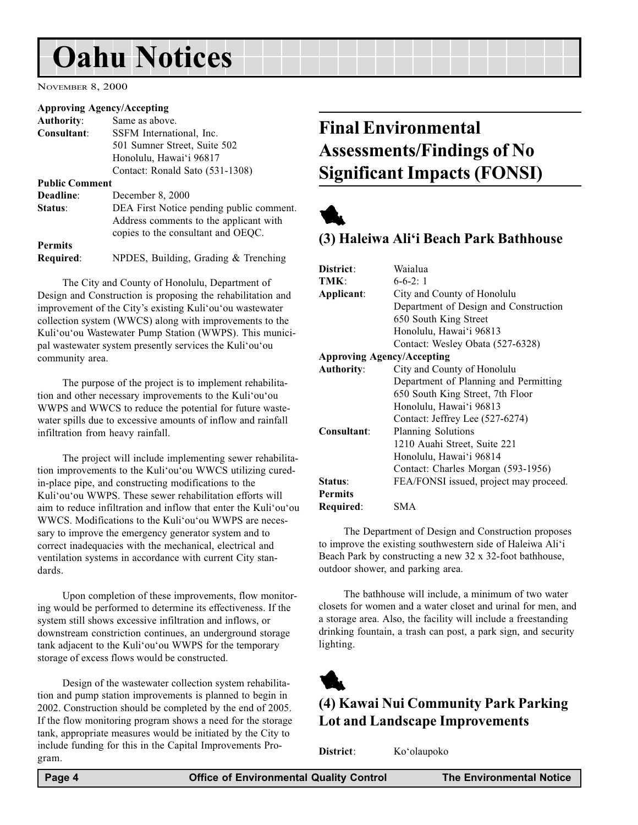# <span id="page-3-0"></span>Oahu Notices

NOVEMBER 8, 2000

#### Approving Agency/Accepting

| <b>Authority:</b>     | Same as above.                           |
|-----------------------|------------------------------------------|
| Consultant:           | SSFM International, Inc.                 |
|                       | 501 Sumner Street, Suite 502             |
|                       | Honolulu, Hawai'i 96817                  |
|                       | Contact: Ronald Sato (531-1308)          |
| <b>Public Comment</b> |                                          |
| Deadline:             | December 8, 2000                         |
| Status:               | DEA First Notice pending public comment. |
|                       | Address comments to the applicant with   |
|                       | copies to the consultant and OEQC.       |
| <b>Permits</b>        |                                          |
| Required:             | NPDES, Building, Grading $&$ Trenching   |

The City and County of Honolulu, Department of Design and Construction is proposing the rehabilitation and improvement of the City's existing Kuli'ou'ou wastewater collection system (WWCS) along with improvements to the Kuli'ou'ou Wastewater Pump Station (WWPS). This municipal wastewater system presently services the Kuli'ou'ou community area.

The purpose of the project is to implement rehabilitation and other necessary improvements to the Kuli'ou'ou WWPS and WWCS to reduce the potential for future wastewater spills due to excessive amounts of inflow and rainfall infiltration from heavy rainfall.

The project will include implementing sewer rehabilitation improvements to the Kuli'ou'ou WWCS utilizing curedin-place pipe, and constructing modifications to the Kuli'ou'ou WWPS. These sewer rehabilitation efforts will aim to reduce infiltration and inflow that enter the Kuli'ou'ou WWCS. Modifications to the Kuli'ou'ou WWPS are necessary to improve the emergency generator system and to correct inadequacies with the mechanical, electrical and ventilation systems in accordance with current City standards.

Upon completion of these improvements, flow monitoring would be performed to determine its effectiveness. If the system still shows excessive infiltration and inflows, or downstream constriction continues, an underground storage tank adjacent to the Kuli'ou'ou WWPS for the temporary storage of excess flows would be constructed.

Design of the wastewater collection system rehabilitation and pump station improvements is planned to begin in 2002. Construction should be completed by the end of 2005. If the flow monitoring program shows a need for the storage tank, appropriate measures would be initiated by the City to include funding for this in the Capital Improvements Program.

# Final Environmental Assessments/Findings of No Significant Impacts (FONSI)



### (3) Haleiwa Ali'i Beach Park Bathhouse

| District:                         | Waialua                                |  |
|-----------------------------------|----------------------------------------|--|
| TMK:                              | $6 - 6 - 2:1$                          |  |
| Applicant:                        | City and County of Honolulu            |  |
|                                   | Department of Design and Construction  |  |
|                                   | 650 South King Street                  |  |
|                                   | Honolulu, Hawai'i 96813                |  |
|                                   | Contact: Wesley Obata (527-6328)       |  |
| <b>Approving Agency/Accepting</b> |                                        |  |
| <b>Authority:</b>                 | City and County of Honolulu            |  |
|                                   | Department of Planning and Permitting  |  |
|                                   | 650 South King Street, 7th Floor       |  |
|                                   | Honolulu, Hawai'i 96813                |  |
|                                   | Contact: Jeffrey Lee (527-6274)        |  |
| Consultant:                       | Planning Solutions                     |  |
|                                   | 1210 Auahi Street, Suite 221           |  |
|                                   | Honolulu, Hawai'i 96814                |  |
|                                   | Contact: Charles Morgan (593-1956)     |  |
| Status:                           | FEA/FONSI issued, project may proceed. |  |
| <b>Permits</b>                    |                                        |  |
| Required:                         | SMA                                    |  |

The Department of Design and Construction proposes to improve the existing southwestern side of Haleiwa Ali'i Beach Park by constructing a new 32 x 32-foot bathhouse, outdoor shower, and parking area.

The bathhouse will include, a minimum of two water closets for women and a water closet and urinal for men, and a storage area. Also, the facility will include a freestanding drinking fountain, a trash can post, a park sign, and security lighting.



## (4) Kawai Nui Community Park Parking Lot and Landscape Improvements

District: Ko'olaupoko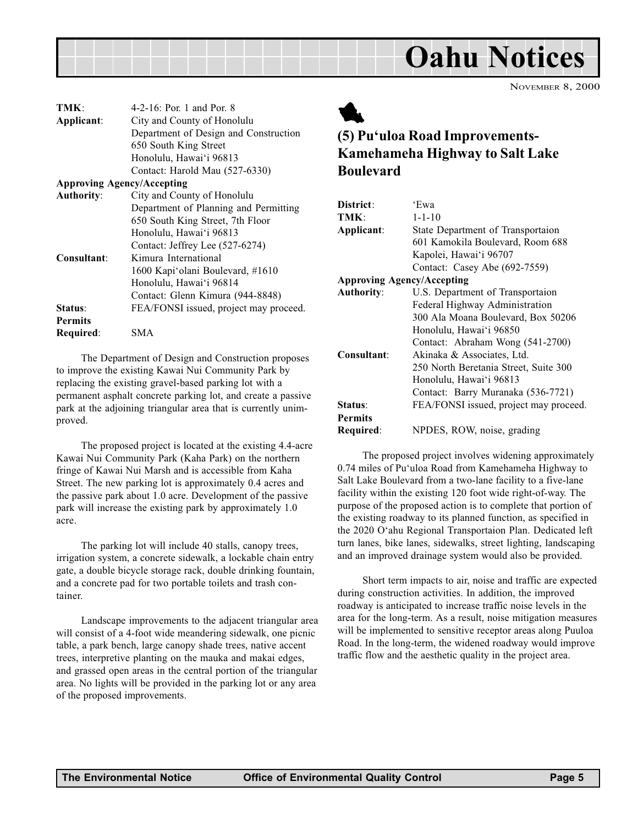<span id="page-4-0"></span>

| TMK:                              | 4-2-16: Por. 1 and Por. 8              |
|-----------------------------------|----------------------------------------|
| Applicant:                        | City and County of Honolulu            |
|                                   | Department of Design and Construction  |
|                                   | 650 South King Street                  |
|                                   | Honolulu, Hawai'i 96813                |
|                                   | Contact: Harold Mau (527-6330)         |
| <b>Approving Agency/Accepting</b> |                                        |
| <b>Authority:</b>                 | City and County of Honolulu            |
|                                   | Department of Planning and Permitting  |
|                                   | 650 South King Street, 7th Floor       |
|                                   | Honolulu, Hawai'i 96813                |
|                                   | Contact: Jeffrey Lee (527-6274)        |
| Consultant:                       | Kimura International                   |
|                                   | 1600 Kapi'olani Boulevard, #1610       |
|                                   | Honolulu, Hawai'i 96814                |
|                                   | Contact: Glenn Kimura (944-8848)       |
| Status:                           | FEA/FONSI issued, project may proceed. |
| <b>Permits</b>                    |                                        |
| Required:                         | SMA                                    |
|                                   |                                        |

The Department of Design and Construction proposes to improve the existing Kawai Nui Community Park by replacing the existing gravel-based parking lot with a permanent asphalt concrete parking lot, and create a passive park at the adjoining triangular area that is currently unimproved.

The proposed project is located at the existing 4.4-acre Kawai Nui Community Park (Kaha Park) on the northern fringe of Kawai Nui Marsh and is accessible from Kaha Street. The new parking lot is approximately 0.4 acres and the passive park about 1.0 acre. Development of the passive park will increase the existing park by approximately 1.0 acre.

The parking lot will include 40 stalls, canopy trees, irrigation system, a concrete sidewalk, a lockable chain entry gate, a double bicycle storage rack, double drinking fountain, and a concrete pad for two portable toilets and trash container.

Landscape improvements to the adjacent triangular area will consist of a 4-foot wide meandering sidewalk, one picnic table, a park bench, large canopy shade trees, native accent trees, interpretive planting on the mauka and makai edges, and grassed open areas in the central portion of the triangular area. No lights will be provided in the parking lot or any area of the proposed improvements.



# (5) Pu'uloa Road Improvements-Kamehameha Highway to Salt Lake Boulevard

| District:                         | 'Ewa                                   |
|-----------------------------------|----------------------------------------|
| TMK:                              | $1 - 1 - 10$                           |
| Applicant:                        | State Department of Transportaion      |
|                                   | 601 Kamokila Boulevard, Room 688       |
|                                   | Kapolei, Hawai'i 96707                 |
|                                   | Contact: Casey Abe (692-7559)          |
| <b>Approving Agency/Accepting</b> |                                        |
| <b>Authority:</b>                 | U.S. Department of Transportaion       |
|                                   | Federal Highway Administration         |
|                                   | 300 Ala Moana Boulevard, Box 50206     |
|                                   | Honolulu, Hawai'i 96850                |
|                                   | Contact: Abraham Wong (541-2700)       |
| Consultant:                       | Akinaka & Associates, Ltd.             |
|                                   | 250 North Beretania Street, Suite 300  |
|                                   | Honolulu, Hawai'i 96813                |
|                                   | Contact: Barry Muranaka (536-7721)     |
| Status:                           | FEA/FONSI issued, project may proceed. |
| <b>Permits</b>                    |                                        |
| Required:                         | NPDES, ROW, noise, grading             |

The proposed project involves widening approximately 0.74 miles of Pu'uloa Road from Kamehameha Highway to Salt Lake Boulevard from a two-lane facility to a five-lane facility within the existing 120 foot wide right-of-way. The purpose of the proposed action is to complete that portion of the existing roadway to its planned function, as specified in the 2020 O'ahu Regional Transportaion Plan. Dedicated left turn lanes, bike lanes, sidewalks, street lighting, landscaping and an improved drainage system would also be provided.

Short term impacts to air, noise and traffic are expected during construction activities. In addition, the improved roadway is anticipated to increase traffic noise levels in the area for the long-term. As a result, noise mitigation measures will be implemented to sensitive receptor areas along Puuloa Road. In the long-term, the widened roadway would improve traffic flow and the aesthetic quality in the project area.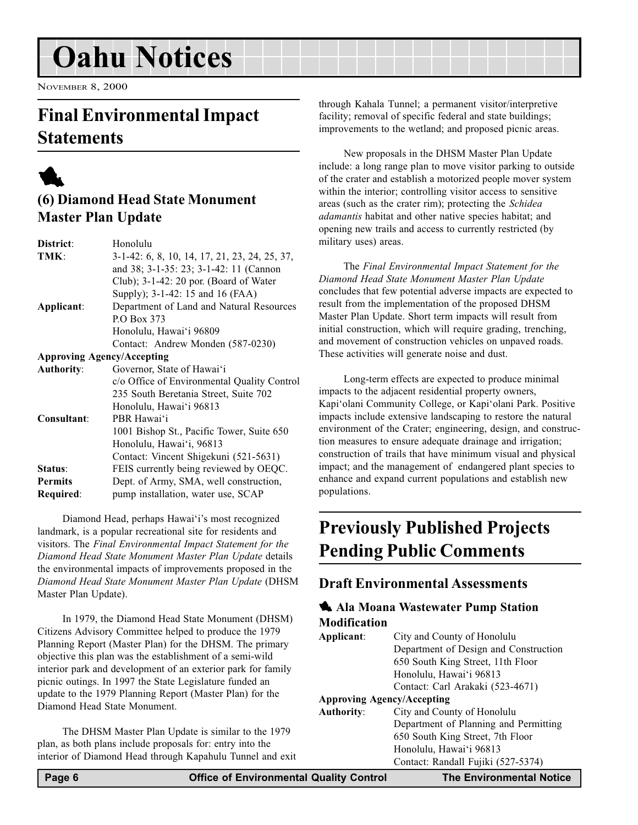# <span id="page-5-0"></span>Oahu Notices

NOVEMBER 8, 2000

# Final Environmental Impact **Statements**



# (6) Diamond Head State Monument Master Plan Update

| District:                         | Honolulu                                      |
|-----------------------------------|-----------------------------------------------|
| TMK:                              | 3-1-42: 6, 8, 10, 14, 17, 21, 23, 24, 25, 37, |
|                                   | and 38; 3-1-35: 23; 3-1-42: 11 (Cannon        |
|                                   | Club); 3-1-42: 20 por. (Board of Water        |
|                                   | Supply); 3-1-42: 15 and 16 (FAA)              |
| Applicant:                        | Department of Land and Natural Resources      |
|                                   | P.O Box 373                                   |
|                                   | Honolulu, Hawai'i 96809                       |
|                                   | Contact: Andrew Monden (587-0230)             |
| <b>Approving Agency/Accepting</b> |                                               |
| <b>Authority:</b>                 | Governor, State of Hawai'i                    |
|                                   | c/o Office of Environmental Quality Control   |
|                                   | 235 South Beretania Street, Suite 702         |
|                                   | Honolulu, Hawai'i 96813                       |
| Consultant:                       | PBR Hawai'i                                   |
|                                   | 1001 Bishop St., Pacific Tower, Suite 650     |
|                                   | Honolulu, Hawai'i, 96813                      |
|                                   | Contact: Vincent Shigekuni (521-5631)         |
| Status:                           | FEIS currently being reviewed by OEQC.        |
| <b>Permits</b>                    | Dept. of Army, SMA, well construction,        |
| Required:                         | pump installation, water use, SCAP            |
|                                   |                                               |

Diamond Head, perhaps Hawai'i's most recognized landmark, is a popular recreational site for residents and visitors. The Final Environmental Impact Statement for the Diamond Head State Monument Master Plan Update details the environmental impacts of improvements proposed in the Diamond Head State Monument Master Plan Update (DHSM Master Plan Update).

In 1979, the Diamond Head State Monument (DHSM) Citizens Advisory Committee helped to produce the 1979 Planning Report (Master Plan) for the DHSM. The primary objective this plan was the establishment of a semi-wild interior park and development of an exterior park for family picnic outings. In 1997 the State Legislature funded an update to the 1979 Planning Report (Master Plan) for the Diamond Head State Monument.

The DHSM Master Plan Update is similar to the 1979 plan, as both plans include proposals for: entry into the interior of Diamond Head through Kapahulu Tunnel and exit through Kahala Tunnel; a permanent visitor/interpretive facility; removal of specific federal and state buildings; improvements to the wetland; and proposed picnic areas.

New proposals in the DHSM Master Plan Update include: a long range plan to move visitor parking to outside of the crater and establish a motorized people mover system within the interior; controlling visitor access to sensitive areas (such as the crater rim); protecting the Schidea adamantis habitat and other native species habitat; and opening new trails and access to currently restricted (by military uses) areas.

The Final Environmental Impact Statement for the Diamond Head State Monument Master Plan Update concludes that few potential adverse impacts are expected to result from the implementation of the proposed DHSM Master Plan Update. Short term impacts will result from initial construction, which will require grading, trenching, and movement of construction vehicles on unpaved roads. These activities will generate noise and dust.

Long-term effects are expected to produce minimal impacts to the adjacent residential property owners, Kapi'olani Community College, or Kapi'olani Park. Positive impacts include extensive landscaping to restore the natural environment of the Crater; engineering, design, and construction measures to ensure adequate drainage and irrigation; construction of trails that have minimum visual and physical impact; and the management of endangered plant species to enhance and expand current populations and establish new populations.

# Previously Published Projects Pending Public Comments

### Draft Environmental Assessments

### **4** Ala Moana Wastewater Pump Station Modification

| Applicant:                        | City and County of Honolulu           |
|-----------------------------------|---------------------------------------|
|                                   | Department of Design and Construction |
|                                   | 650 South King Street, 11th Floor     |
|                                   | Honolulu, Hawai'i 96813               |
|                                   | Contact: Carl Arakaki (523-4671)      |
| <b>Approving Agency/Accepting</b> |                                       |
| <b>Authority:</b>                 | City and County of Honolulu           |
|                                   | Department of Planning and Permitting |
|                                   | 650 South King Street, 7th Floor      |
|                                   | Honolulu, Hawai'i 96813               |
|                                   | Contact: Randall Fujiki (527-5374)    |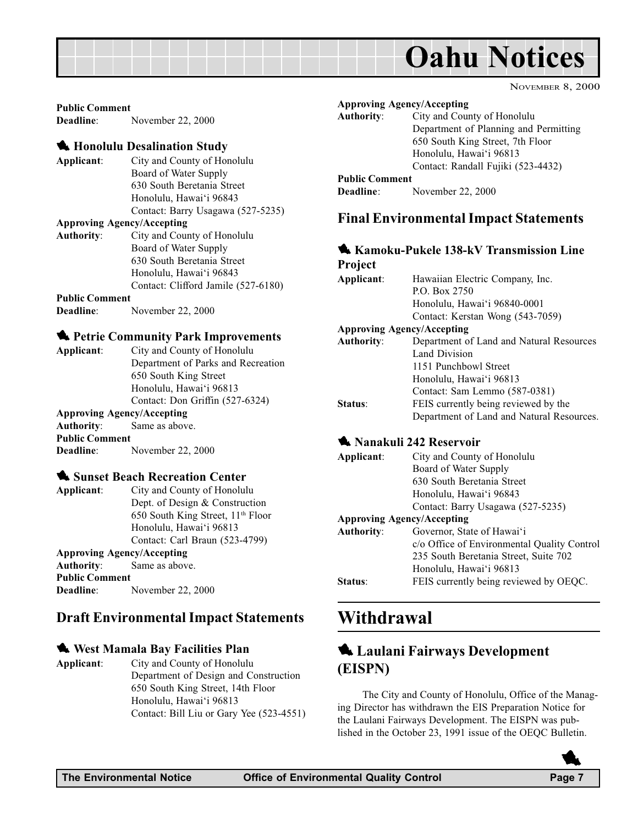<span id="page-6-0"></span>

#### Public Comment

Deadline: November 22, 2000

#### **4 Honolulu Desalination Study**

Applicant: City and County of Honolulu Board of Water Supply 630 South Beretania Street Honolulu, Hawai'i 96843 Contact: Barry Usagawa (527-5235)

#### Approving Agency/Accepting

Authority: City and County of Honolulu Board of Water Supply 630 South Beretania Street Honolulu, Hawai'i 96843 Contact: Clifford Jamile (527-6180)

#### Public Comment

Deadline: November 22, 2000

#### **1** Petrie Community Park Improvements

| Applicant:        | City and County of Honolulu        |
|-------------------|------------------------------------|
|                   | Department of Parks and Recreation |
|                   | 650 South King Street              |
|                   | Honolulu, Hawai'i 96813            |
|                   | Contact: Don Griffin (527-6324)    |
|                   | <b>Approving Agency/Accepting</b>  |
| <b>Authority:</b> | Same as above.                     |
|                   |                                    |

Public Comment Deadline: November 22, 2000

#### **1** Sunset Beach Recreation Center

Applicant: City and County of Honolulu Dept. of Design & Construction 650 South King Street, 11th Floor Honolulu, Hawai'i 96813 Contact: Carl Braun (523-4799) Approving Agency/Accepting

#### Authority: Same as above. Public Comment

Deadline: November 22, 2000

### Draft Environmental Impact Statements

#### **West Mamala Bay Facilities Plan**

Applicant: City and County of Honolulu Department of Design and Construction 650 South King Street, 14th Floor Honolulu, Hawai'i 96813 Contact: Bill Liu or Gary Yee (523-4551)

|                       | <b>Approving Agency/Accepting</b>     |
|-----------------------|---------------------------------------|
| <b>Authority:</b>     | City and County of Honolulu           |
|                       | Department of Planning and Permitting |
|                       | 650 South King Street, 7th Floor      |
|                       | Honolulu, Hawai'i 96813               |
|                       | Contact: Randall Fujiki (523-4432)    |
| <b>Public Comment</b> |                                       |
| Deadline:             | November 22, 2000                     |

### Final Environmental Impact Statements

#### **1 Kamoku-Pukele 138-kV Transmission Line**  $\mathbf{p}_{\text{max}}$

| I I OIECI                         |                                           |
|-----------------------------------|-------------------------------------------|
| Applicant:                        | Hawaiian Electric Company, Inc.           |
|                                   | P.O. Box 2750                             |
|                                   | Honolulu, Hawai'i 96840-0001              |
|                                   | Contact: Kerstan Wong (543-7059)          |
| <b>Approving Agency/Accepting</b> |                                           |
| <b>Authority:</b>                 | Department of Land and Natural Resources  |
|                                   | <b>Land Division</b>                      |
|                                   | 1151 Punchbowl Street                     |
|                                   | Honolulu, Hawai'i 96813                   |
|                                   | Contact: Sam Lemmo (587-0381)             |
| Status:                           | FEIS currently being reviewed by the      |
|                                   | Department of Land and Natural Resources. |

#### **1 Nanakuli 242 Reservoir**

| Applicant:                        | City and County of Honolulu                 |
|-----------------------------------|---------------------------------------------|
|                                   | Board of Water Supply                       |
|                                   | 630 South Beretania Street                  |
|                                   | Honolulu, Hawai'i 96843                     |
|                                   | Contact: Barry Usagawa (527-5235)           |
| <b>Approving Agency/Accepting</b> |                                             |
| <b>Authority:</b>                 | Governor, State of Hawai'i                  |
|                                   | c/o Office of Environmental Quality Control |
|                                   | 235 South Beretania Street, Suite 702       |
|                                   | Honolulu, Hawai'i 96813                     |
| Status:                           | FEIS currently being reviewed by OEQC.      |

## Withdrawal

## **4.** Laulani Fairways Development (EISPN)

The City and County of Honolulu, Office of the Managing Director has withdrawn the EIS Preparation Notice for the Laulani Fairways Development. The EISPN was published in the October 23, 1991 issue of the OEQC Bulletin.

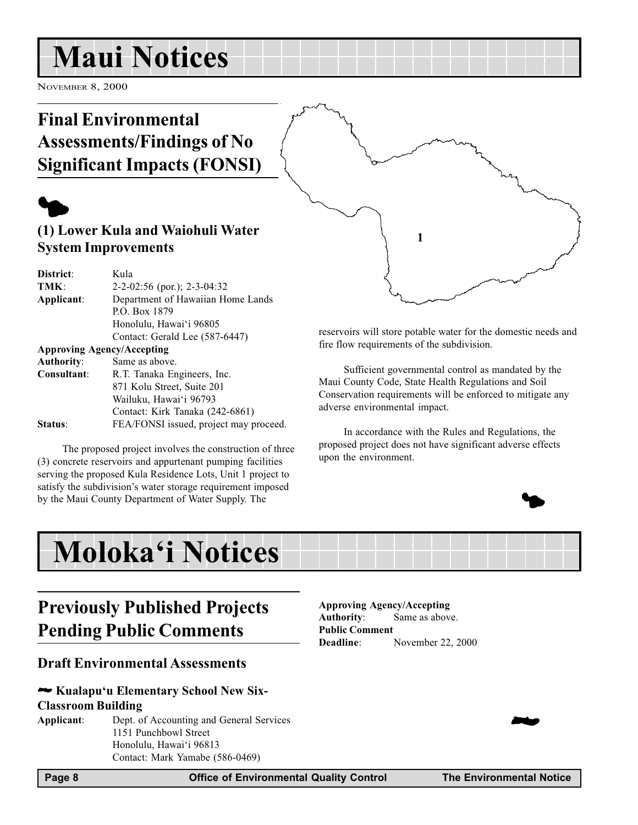# <span id="page-7-0"></span>Maui Notices

NOVEMBER 8, 2000

# Final Environmental Assessments/Findings of No Significant Impacts (FONSI)

# $\blacklozenge$

## (1) Lower Kula and Waiohuli Water System Improvements

| District:                         | Kula                                   |
|-----------------------------------|----------------------------------------|
| TMK:                              | $2-2-02:56$ (por.); $2-3-04:32$        |
| Applicant:                        | Department of Hawaiian Home Lands      |
|                                   | P.O. Box 1879                          |
|                                   | Honolulu, Hawai'i 96805                |
|                                   | Contact: Gerald Lee (587-6447)         |
| <b>Approving Agency/Accepting</b> |                                        |
| <b>Authority:</b>                 | Same as above.                         |
| Consultant:                       | R.T. Tanaka Engineers, Inc.            |
|                                   | 871 Kolu Street, Suite 201             |
|                                   | Wailuku, Hawai'i 96793                 |
|                                   | Contact: Kirk Tanaka (242-6861)        |
| Status <sup>.</sup>               | FEA/FONSI issued, project may proceed. |
|                                   |                                        |

The proposed project involves the construction of three (3) concrete reservoirs and appurtenant pumping facilities serving the proposed Kula Residence Lots, Unit 1 project to satisfy the subdivision's water storage requirement imposed by the Maui County Department of Water Supply. The

reservoirs will store potable water for the domestic needs and fire flow requirements of the subdivision.

1

Sufficient governmental control as mandated by the Maui County Code, State Health Regulations and Soil Conservation requirements will be enforced to mitigate any adverse environmental impact.

In accordance with the Rules and Regulations, the proposed project does not have significant adverse effects upon the environment.

# Moloka'i Notices

# Previously Published Projects Pending Public Comments

### Draft Environmental Assessments

#### $\blacktriangleright$  Kualapu'u Elementary School New Six-

#### Classroom Building

Applicant: Dept. of Accounting and General Services 1151 Punchbowl Street Honolulu, Hawai'i 96813 Contact: Mark Yamabe (586-0469)

#### Approving Agency/Accepting Authority: Same as above. Public Comment Deadline: November 22, 2000



Page 8 **Office of Environmental Quality Control** The Environmental Notice **The Environmental Notice** 

**24** 

 $\blacklozenge$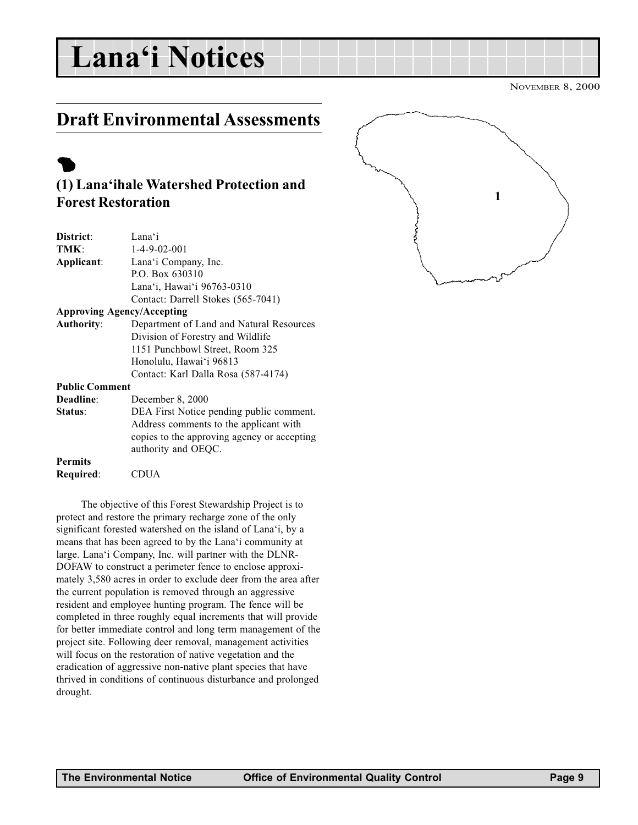# <span id="page-8-0"></span>Lana'i Notices

NOVEMBER 8, 2000

# Draft Environmental Assessments

# $\bullet$

## (1) Lana'ihale Watershed Protection and Forest Restoration

| District:                         | Lana'i                                      |  |
|-----------------------------------|---------------------------------------------|--|
| TMK:                              | $1 - 4 - 9 - 02 - 001$                      |  |
| Applicant:                        | Lana'i Company, Inc.                        |  |
|                                   | P.O. Box 630310                             |  |
|                                   | Lana'i, Hawai'i 96763-0310                  |  |
|                                   | Contact: Darrell Stokes (565-7041)          |  |
| <b>Approving Agency/Accepting</b> |                                             |  |
| <b>Authority:</b>                 | Department of Land and Natural Resources    |  |
|                                   | Division of Forestry and Wildlife           |  |
|                                   | 1151 Punchbowl Street, Room 325             |  |
|                                   | Honolulu, Hawai'i 96813                     |  |
|                                   | Contact: Karl Dalla Rosa (587-4174)         |  |
| <b>Public Comment</b>             |                                             |  |
| Deadline:                         | December 8, 2000                            |  |
| Status:                           | DEA First Notice pending public comment.    |  |
|                                   | Address comments to the applicant with      |  |
|                                   | copies to the approving agency or accepting |  |
|                                   | authority and OEQC.                         |  |
| <b>Permits</b>                    |                                             |  |
| Required:                         | CDUA                                        |  |
|                                   |                                             |  |

The objective of this Forest Stewardship Project is to protect and restore the primary recharge zone of the only significant forested watershed on the island of Lana'i, by a means that has been agreed to by the Lana'i community at large. Lana'i Company, Inc. will partner with the DLNR-DOFAW to construct a perimeter fence to enclose approximately 3,580 acres in order to exclude deer from the area after the current population is removed through an aggressive resident and employee hunting program. The fence will be completed in three roughly equal increments that will provide for better immediate control and long term management of the project site. Following deer removal, management activities will focus on the restoration of native vegetation and the eradication of aggressive non-native plant species that have thrived in conditions of continuous disturbance and prolonged drought.

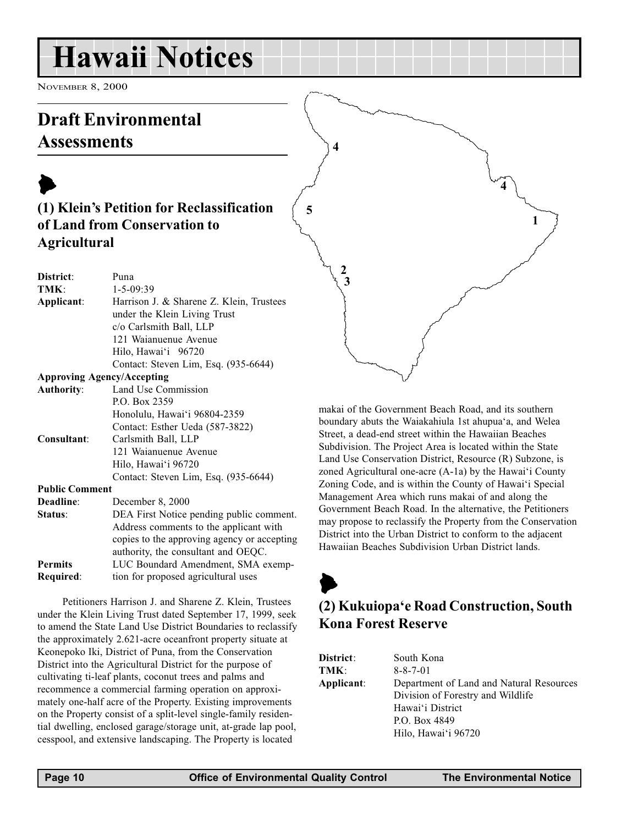# <span id="page-9-0"></span>Hawaii Notices

NOVEMBER 8, 2000

# Draft Environmental **Assessments**

# $\blacktriangleright$ (1) Klein's Petition for Reclassification of Land from Conservation to Agricultural

| District:             | Puna                                        |
|-----------------------|---------------------------------------------|
| TMK:                  | $1 - 5 - 09:39$                             |
| Applicant:            | Harrison J. & Sharene Z. Klein, Trustees    |
|                       | under the Klein Living Trust                |
|                       | c/o Carlsmith Ball, LLP                     |
|                       | 121 Waianuenue Avenue                       |
|                       | Hilo, Hawai'i 96720                         |
|                       | Contact: Steven Lim, Esq. (935-6644)        |
|                       | <b>Approving Agency/Accepting</b>           |
| <b>Authority:</b>     | Land Use Commission                         |
|                       | P.O. Box 2359                               |
|                       | Honolulu, Hawai'i 96804-2359                |
|                       | Contact: Esther Ueda (587-3822)             |
| Consultant:           | Carlsmith Ball, LLP                         |
|                       | 121 Waianuenue Avenue                       |
|                       | Hilo, Hawai'i 96720                         |
|                       | Contact: Steven Lim, Esq. (935-6644)        |
| <b>Public Comment</b> |                                             |
| Deadline:             | December 8, 2000                            |
| Status:               | DEA First Notice pending public comment.    |
|                       | Address comments to the applicant with      |
|                       | copies to the approving agency or accepting |
|                       | authority, the consultant and OEQC.         |
| <b>Permits</b>        | LUC Boundard Amendment, SMA exemp-          |
| Required:             | tion for proposed agricultural uses         |

Petitioners Harrison J. and Sharene Z. Klein, Trustees under the Klein Living Trust dated September 17, 1999, seek to amend the State Land Use District Boundaries to reclassify the approximately 2.621-acre oceanfront property situate at Keonepoko Iki, District of Puna, from the Conservation District into the Agricultural District for the purpose of cultivating ti-leaf plants, coconut trees and palms and recommence a commercial farming operation on approximately one-half acre of the Property. Existing improvements on the Property consist of a split-level single-family residential dwelling, enclosed garage/storage unit, at-grade lap pool, cesspool, and extensive landscaping. The Property is located

makai of the Government Beach Road, and its southern boundary abuts the Waiakahiula 1st ahupua'a, and Welea Street, a dead-end street within the Hawaiian Beaches Subdivision. The Project Area is located within the State Land Use Conservation District, Resource (R) Subzone, is zoned Agricultural one-acre  $(A-1a)$  by the Hawai'i County Zoning Code, and is within the County of Hawai'i Special Management Area which runs makai of and along the Government Beach Road. In the alternative, the Petitioners may propose to reclassify the Property from the Conservation District into the Urban District to conform to the adjacent Hawaiian Beaches Subdivision Urban District lands.

# $\blacktriangleright$ (2) Kukuiopa'e Road Construction, South Kona Forest Reserve

| District:  | South Kona                               |
|------------|------------------------------------------|
| TMK:       | $8 - 8 - 7 - 01$                         |
| Applicant: | Department of Land and Natural Resources |
|            | Division of Forestry and Wildlife        |
|            | Hawai'i District                         |
|            | P.O. Box 4849                            |
|            | Hilo, Hawai'i 96720                      |

5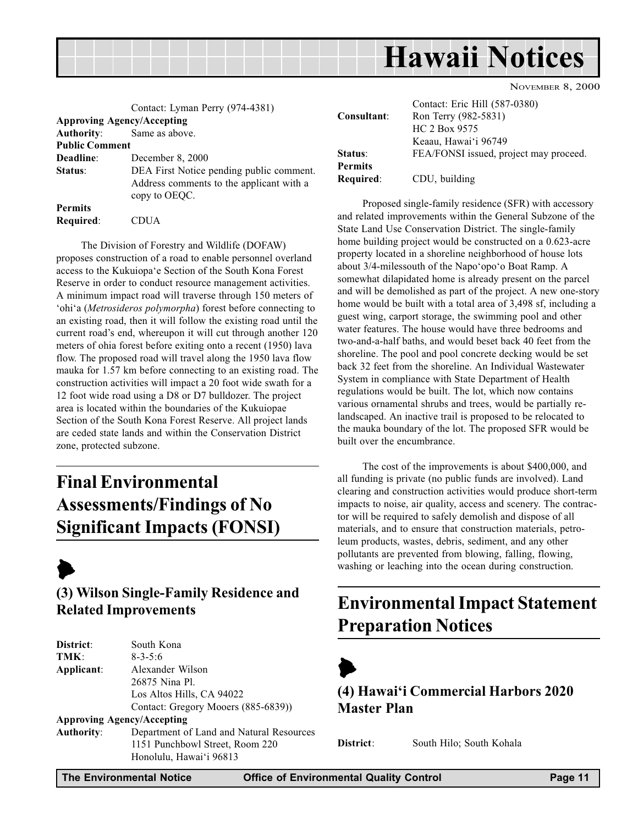<span id="page-10-0"></span>

|                                    | Contact: Lyman Perry (974-4381)<br><b>Approving Agency/Accepting</b>                                  | Consultant:                                             |  |
|------------------------------------|-------------------------------------------------------------------------------------------------------|---------------------------------------------------------|--|
| <b>Authority:</b>                  | Same as above.                                                                                        |                                                         |  |
| <b>Public Comment</b>              |                                                                                                       |                                                         |  |
| Deadline:                          | December 8, 2000                                                                                      | Status:                                                 |  |
| Status:                            | DEA First Notice pending public comment.<br>Address comments to the applicant with a<br>copy to OEQC. | <b>Permits</b><br>Required:                             |  |
| <b>Permits</b><br><b>Required:</b> | CDUA                                                                                                  | Proposed sir<br>and related improv<br>State Land Use Co |  |

The Division of Forestry and Wildlife (DOFAW) proposes construction of a road to enable personnel overland access to the Kukuiopa'e Section of the South Kona Forest Reserve in order to conduct resource management activities. A minimum impact road will traverse through 150 meters of 'ohi'a (Metrosideros polymorpha) forest before connecting to an existing road, then it will follow the existing road until the current road's end, whereupon it will cut through another 120 meters of ohia forest before exiting onto a recent (1950) lava flow. The proposed road will travel along the 1950 lava flow mauka for 1.57 km before connecting to an existing road. The construction activities will impact a 20 foot wide swath for a 12 foot wide road using a D8 or D7 bulldozer. The project area is located within the boundaries of the Kukuiopae Section of the South Kona Forest Reserve. All project lands are ceded state lands and within the Conservation District zone, protected subzone.

# Final Environmental Assessments/Findings of No Significant Impacts (FONSI)



# (3) Wilson Single-Family Residence and Related Improvements

| District:         | South Kona                               |
|-------------------|------------------------------------------|
| TMK:              | $8 - 3 - 5:6$                            |
| Applicant:        | Alexander Wilson                         |
|                   | 26875 Nina Pl.                           |
|                   | Los Altos Hills, CA 94022                |
|                   | Contact: Gregory Mooers (885-6839))      |
|                   | <b>Approving Agency/Accepting</b>        |
| <b>Authority:</b> | Department of Land and Natural Resources |
|                   | 1151 Punchbowl Street, Room 220          |
|                   | Honolulu, Hawai'i 96813                  |
|                   |                                          |

Contact: Eric Hill (587-0380) Ron Terry (982-5831) HC 2 Box 9575 Keaau, Hawaiʻi 96749 FEA/FONSI issued, project may proceed. CDU, building

reposed single-family residence (SFR) with accessory vements within the General Subzone of the onservation District. The single-family home building project would be constructed on a 0.623-acre property located in a shoreline neighborhood of house lots about  $3/4$ -milessouth of the Napo'opo'o Boat Ramp. A somewhat dilapidated home is already present on the parcel and will be demolished as part of the project. A new one-story home would be built with a total area of 3,498 sf, including a guest wing, carport storage, the swimming pool and other water features. The house would have three bedrooms and two-and-a-half baths, and would beset back 40 feet from the shoreline. The pool and pool concrete decking would be set back 32 feet from the shoreline. An Individual Wastewater System in compliance with State Department of Health regulations would be built. The lot, which now contains various ornamental shrubs and trees, would be partially relandscaped. An inactive trail is proposed to be relocated to the mauka boundary of the lot. The proposed SFR would be built over the encumbrance.

The cost of the improvements is about \$400,000, and all funding is private (no public funds are involved). Land clearing and construction activities would produce short-term impacts to noise, air quality, access and scenery. The contractor will be required to safely demolish and dispose of all materials, and to ensure that construction materials, petroleum products, wastes, debris, sediment, and any other pollutants are prevented from blowing, falling, flowing, washing or leaching into the ocean during construction.

# Environmental Impact Statement Preparation Notices



(4) Hawai'i Commercial Harbors 2020 Master Plan

District: South Hilo; South Kohala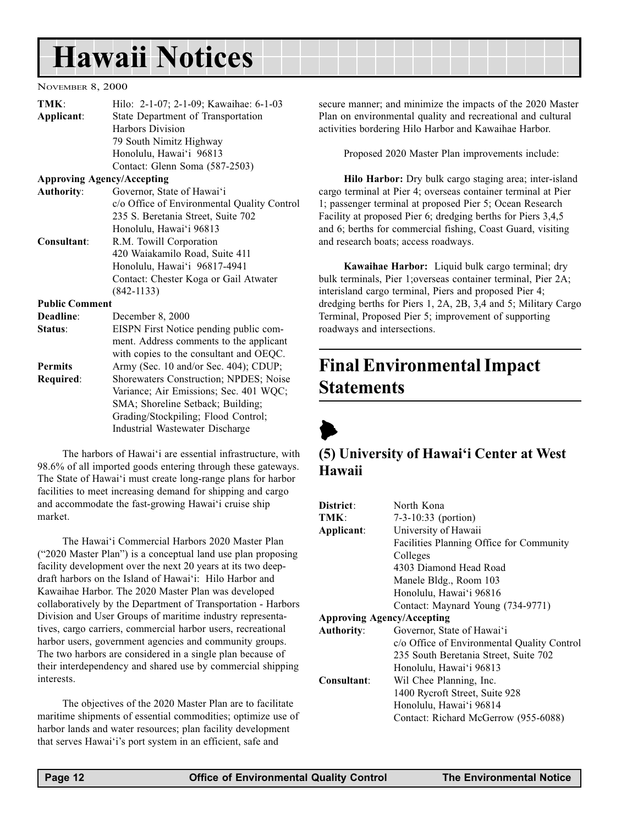# <span id="page-11-0"></span>Hawaii Notices

#### NOVEMBER 8, 2000

| TMK:                  | Hilo: 2-1-07; 2-1-09; Kawaihae: 6-1-03      |  |  |
|-----------------------|---------------------------------------------|--|--|
| Applicant:            | State Department of Transportation          |  |  |
|                       | <b>Harbors Division</b>                     |  |  |
|                       | 79 South Nimitz Highway                     |  |  |
|                       | Honolulu, Hawai'i 96813                     |  |  |
|                       | Contact: Glenn Soma (587-2503)              |  |  |
|                       | <b>Approving Agency/Accepting</b>           |  |  |
| <b>Authority:</b>     | Governor, State of Hawai'i                  |  |  |
|                       | c/o Office of Environmental Quality Control |  |  |
|                       | 235 S. Beretania Street, Suite 702          |  |  |
|                       | Honolulu, Hawai'i 96813                     |  |  |
| Consultant:           | R.M. Towill Corporation                     |  |  |
|                       | 420 Waiakamilo Road, Suite 411              |  |  |
|                       | Honolulu, Hawai'i 96817-4941                |  |  |
|                       | Contact: Chester Koga or Gail Atwater       |  |  |
|                       | $(842 - 1133)$                              |  |  |
| <b>Public Comment</b> |                                             |  |  |
| Deadline:             | December 8, 2000                            |  |  |
| Status:               | EISPN First Notice pending public com-      |  |  |
|                       | ment. Address comments to the applicant     |  |  |
|                       | with copies to the consultant and OEQC.     |  |  |
| <b>Permits</b>        | Army (Sec. 10 and/or Sec. 404); CDUP;       |  |  |
| Required:             | Shorewaters Construction; NPDES; Noise      |  |  |
|                       | Variance; Air Emissions; Sec. 401 WQC;      |  |  |
|                       | SMA; Shoreline Setback; Building;           |  |  |
|                       | Grading/Stockpiling; Flood Control;         |  |  |
|                       | Industrial Wastewater Discharge             |  |  |

The harbors of Hawai'i are essential infrastructure, with 98.6% of all imported goods entering through these gateways. The State of Hawai'i must create long-range plans for harbor facilities to meet increasing demand for shipping and cargo and accommodate the fast-growing Hawai'i cruise ship market.

The Hawai'i Commercial Harbors 2020 Master Plan ("2020 Master Plan") is a conceptual land use plan proposing facility development over the next 20 years at its two deepdraft harbors on the Island of Hawai'i: Hilo Harbor and Kawaihae Harbor. The 2020 Master Plan was developed collaboratively by the Department of Transportation - Harbors Division and User Groups of maritime industry representatives, cargo carriers, commercial harbor users, recreational harbor users, government agencies and community groups. The two harbors are considered in a single plan because of their interdependency and shared use by commercial shipping interests.

The objectives of the 2020 Master Plan are to facilitate maritime shipments of essential commodities; optimize use of harbor lands and water resources; plan facility development that serves Hawai'i's port system in an efficient, safe and

secure manner; and minimize the impacts of the 2020 Master Plan on environmental quality and recreational and cultural activities bordering Hilo Harbor and Kawaihae Harbor.

Proposed 2020 Master Plan improvements include:

Hilo Harbor: Dry bulk cargo staging area; inter-island cargo terminal at Pier 4; overseas container terminal at Pier 1; passenger terminal at proposed Pier 5; Ocean Research Facility at proposed Pier 6; dredging berths for Piers 3,4,5 and 6; berths for commercial fishing, Coast Guard, visiting and research boats; access roadways.

Kawaihae Harbor: Liquid bulk cargo terminal; dry bulk terminals, Pier 1;overseas container terminal, Pier 2A; interisland cargo terminal, Piers and proposed Pier 4; dredging berths for Piers 1, 2A, 2B, 3,4 and 5; Military Cargo Terminal, Proposed Pier 5; improvement of supporting roadways and intersections.

# Final Environmental Impact Statements



### (5) University of Hawai'i Center at West Hawaii

| District:                         | North Kona                                  |
|-----------------------------------|---------------------------------------------|
| TMK:                              | $7-3-10:33$ (portion)                       |
| Applicant:                        | University of Hawaii                        |
|                                   | Facilities Planning Office for Community    |
|                                   | Colleges                                    |
|                                   | 4303 Diamond Head Road                      |
|                                   | Manele Bldg., Room 103                      |
|                                   | Honolulu, Hawai'i 96816                     |
|                                   | Contact: Maynard Young (734-9771)           |
| <b>Approving Agency/Accepting</b> |                                             |
| <b>Authority:</b>                 | Governor, State of Hawai'i                  |
|                                   | c/o Office of Environmental Quality Control |
|                                   | 235 South Beretania Street, Suite 702       |
|                                   | Honolulu, Hawai'i 96813                     |
| Consultant:                       | Wil Chee Planning, Inc.                     |
|                                   | 1400 Rycroft Street, Suite 928              |
|                                   | Honolulu, Hawai'i 96814                     |
|                                   | Contact: Richard McGerrow (955-6088)        |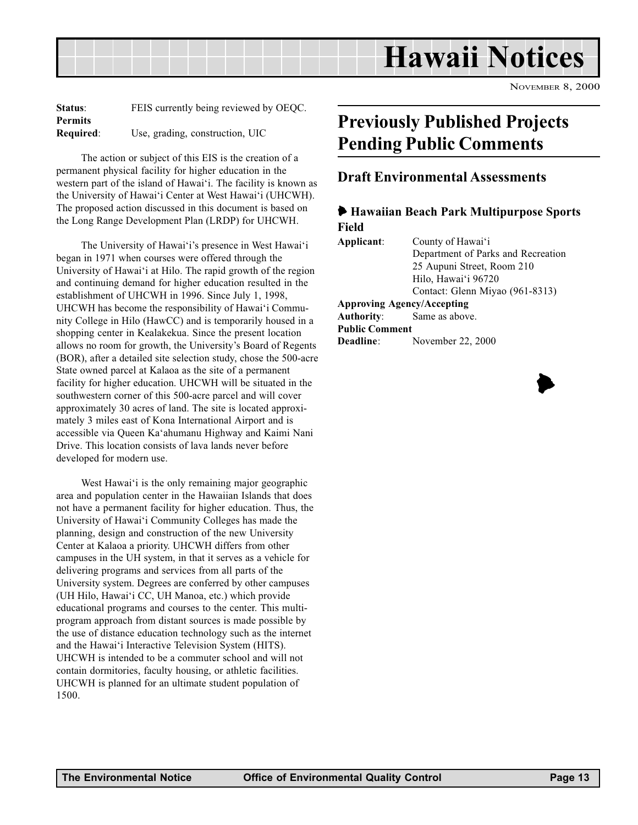<span id="page-12-0"></span>Hawaii Notices

NOVEMBER 8, 2000

| <b>Status:</b> | FEIS currently being reviewed by OEQC. |
|----------------|----------------------------------------|
| <b>Permits</b> |                                        |
| Required:      | Use, grading, construction, UIC        |

The action or subject of this EIS is the creation of a permanent physical facility for higher education in the western part of the island of Hawai'i. The facility is known as the University of Hawai'i Center at West Hawai'i (UHCWH). The proposed action discussed in this document is based on the Long Range Development Plan (LRDP) for UHCWH.

The University of Hawai'i's presence in West Hawai'i began in 1971 when courses were offered through the University of Hawai'i at Hilo. The rapid growth of the region and continuing demand for higher education resulted in the establishment of UHCWH in 1996. Since July 1, 1998, UHCWH has become the responsibility of Hawai'i Community College in Hilo (HawCC) and is temporarily housed in a shopping center in Kealakekua. Since the present location allows no room for growth, the University's Board of Regents (BOR), after a detailed site selection study, chose the 500-acre State owned parcel at Kalaoa as the site of a permanent facility for higher education. UHCWH will be situated in the southwestern corner of this 500-acre parcel and will cover approximately 30 acres of land. The site is located approximately 3 miles east of Kona International Airport and is accessible via Queen Ka'ahumanu Highway and Kaimi Nani Drive. This location consists of lava lands never before developed for modern use.

West Hawai'i is the only remaining major geographic area and population center in the Hawaiian Islands that does not have a permanent facility for higher education. Thus, the University of Hawai'i Community Colleges has made the planning, design and construction of the new University Center at Kalaoa a priority. UHCWH differs from other campuses in the UH system, in that it serves as a vehicle for delivering programs and services from all parts of the University system. Degrees are conferred by other campuses (UH Hilo, Hawai'i CC, UH Manoa, etc.) which provide educational programs and courses to the center. This multiprogram approach from distant sources is made possible by the use of distance education technology such as the internet and the Hawai'i Interactive Television System (HITS). UHCWH is intended to be a commuter school and will not contain dormitories, faculty housing, or athletic facilities. UHCWH is planned for an ultimate student population of 1500.

# Previously Published Projects Pending Public Comments

### Draft Environmental Assessments

#### 6 Hawaiian Beach Park Multipurpose Sports Field

| Applicant:            | County of Hawai'i                  |  |  |
|-----------------------|------------------------------------|--|--|
|                       | Department of Parks and Recreation |  |  |
|                       | 25 Aupuni Street, Room 210         |  |  |
|                       | Hilo, Hawai'i 96720                |  |  |
|                       | Contact: Glenn Miyao (961-8313)    |  |  |
|                       | <b>Approving Agency/Accepting</b>  |  |  |
|                       | <b>Authority:</b> Same as above.   |  |  |
| <b>Public Comment</b> |                                    |  |  |
| Deadline:             | November 22, 2000                  |  |  |
|                       |                                    |  |  |

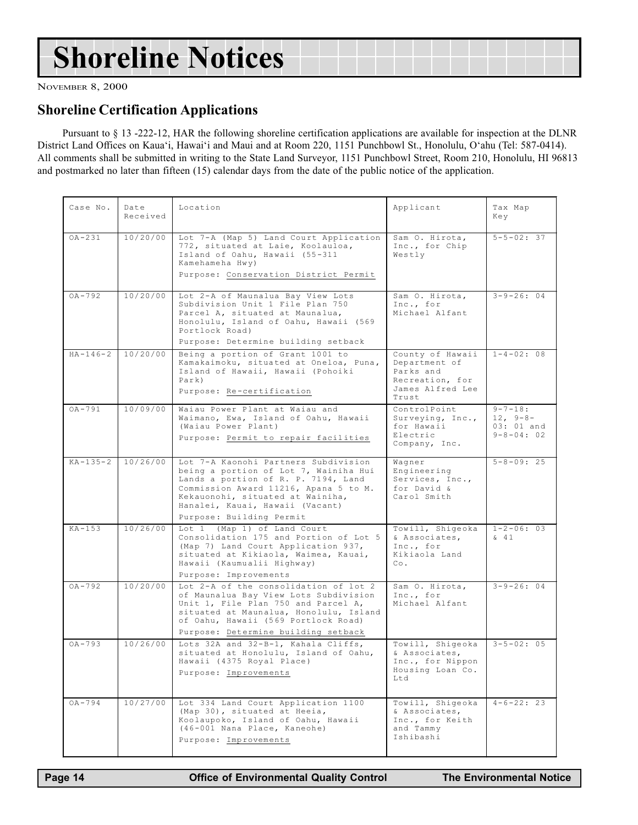# Shoreline Notices

NOVEMBER 8, 2000

### Shoreline Certification Applications

Pursuant to § 13 -222-12, HAR the following shoreline certification applications are available for inspection at the DLNR District Land Offices on Kaua'i, Hawai'i and Maui and at Room 220, 1151 Punchbowl St., Honolulu, O'ahu (Tel: 587-0414). All comments shall be submitted in writing to the State Land Surveyor, 1151 Punchbowl Street, Room 210, Honolulu, HI 96813 and postmarked no later than fifteen (15) calendar days from the date of the public notice of the application.

| Case No.       | Date<br>Received | Location                                                                                                                                                                                                                                                         | Applicant                                                                                      | Tax Map<br>Key                                               |
|----------------|------------------|------------------------------------------------------------------------------------------------------------------------------------------------------------------------------------------------------------------------------------------------------------------|------------------------------------------------------------------------------------------------|--------------------------------------------------------------|
| $OA - 231$     | 10/20/00         | Lot 7-A (Map 5) Land Court Application<br>772, situated at Laie, Koolauloa,<br>Island of Oahu, Hawaii (55-311<br>Kamehameha Hwy)<br>Purpose: Conservation District Permit                                                                                        | Sam O. Hirota,<br>Inc., for Chip<br>Westly                                                     | $5 - 5 - 02:37$                                              |
| $OA - 792$     | 10/20/00         | Lot 2-A of Maunalua Bay View Lots<br>Subdivision Unit 1 File Plan 750<br>Parcel A, situated at Maunalua,<br>Honolulu, Island of Oahu, Hawaii (569<br>Portlock Road)<br>Purpose: Determine building setback                                                       | Sam O. Hirota,<br>Inc., for<br>Michael Alfant                                                  | $3 - 9 - 26:04$                                              |
| $HA - 146 - 2$ | 10/20/00         | Being a portion of Grant 1001 to<br>Kamakaimoku, situated at Oneloa, Puna,<br>Island of Hawaii, Hawaii (Pohoiki<br>$\text{Park}$ )<br>Purpose: Re-certification                                                                                                  | County of Hawaii<br>Department of<br>Parks and<br>Recreation, for<br>James Alfred Lee<br>Trust | $1 - 4 - 02:08$                                              |
| $OA - 791$     | 10/09/00         | Waiau Power Plant at Waiau and<br>Waimano, Ewa, Island of Oahu, Hawaii<br>(Waiau Power Plant)<br>Purpose: Permit to repair facilities                                                                                                                            | ControlPoint<br>Surveying, Inc.,<br>for Hawaii<br>Electric<br>Company, Inc.                    | $9 - 7 - 18:$<br>$12, 9-8-$<br>03: 01 and<br>$9 - 8 - 04:02$ |
| $KA - 135 - 2$ | 10/26/00         | Lot 7-A Kaonohi Partners Subdivision<br>being a portion of Lot 7, Wainiha Hui<br>Lands a portion of R. P. 7194, Land<br>Commission Award 11216, Apana 5 to M.<br>Kekauonohi, situated at Wainiha,<br>Hanalei, Kauai, Hawaii (Vacant)<br>Purpose: Building Permit | Wagner<br>Engineering<br>Services, Inc.,<br>for David &<br>Carol Smith                         | $5 - 8 - 09:25$                                              |
| $KA-153$       | 10/26/00         | Lot 1 (Map 1) of Land Court<br>Consolidation 175 and Portion of Lot 5<br>(Map 7) Land Court Application 937,<br>situated at Kikiaola, Waimea, Kauai,<br>Hawaii (Kaumualii Highway)<br>Purpose: Improvements                                                      | Towill, Shigeoka<br>& Associates,<br>Inc., for<br>Kikiaola Land<br>Co.                         | $1 - 2 - 06:03$<br>$\begin{matrix}6 & 41\end{matrix}$        |
| $0A - 792$     | 10/20/00         | Lot 2-A of the consolidation of lot 2<br>of Maunalua Bay View Lots Subdivision<br>Unit 1, File Plan 750 and Parcel A,<br>situated at Maunalua, Honolulu, Island<br>of Oahu, Hawaii (569 Portlock Road)<br>Purpose: Determine building setback                    | Sam O. Hirota,<br>Inc., for<br>Michael Alfant                                                  | $3 - 9 - 26:04$                                              |
| $OA - 793$     | 10/26/00         | Lots 32A and 32-B-1, Kahala Cliffs,<br>situated at Honolulu, Island of Oahu,<br>Hawaii (4375 Royal Place)<br>Purpose: Improvements                                                                                                                               | Towill, Shigeoka<br>& Associates,<br>Inc., for Nippon<br>Housing Loan Co.<br>Ltd               | $3 - 5 - 02:05$                                              |
| $0A - 794$     | 10/27/00         | Lot 334 Land Court Application 1100<br>(Map 30), situated at Heeia,<br>Koolaupoko, Island of Oahu, Hawaii<br>(46-001 Nana Place, Kaneohe)<br>Purpose: Improvements                                                                                               | Towill, Shigeoka<br>& Associates,<br>Inc., for Keith<br>and Tammy<br>Ishibashi                 | $4-6-22:23$                                                  |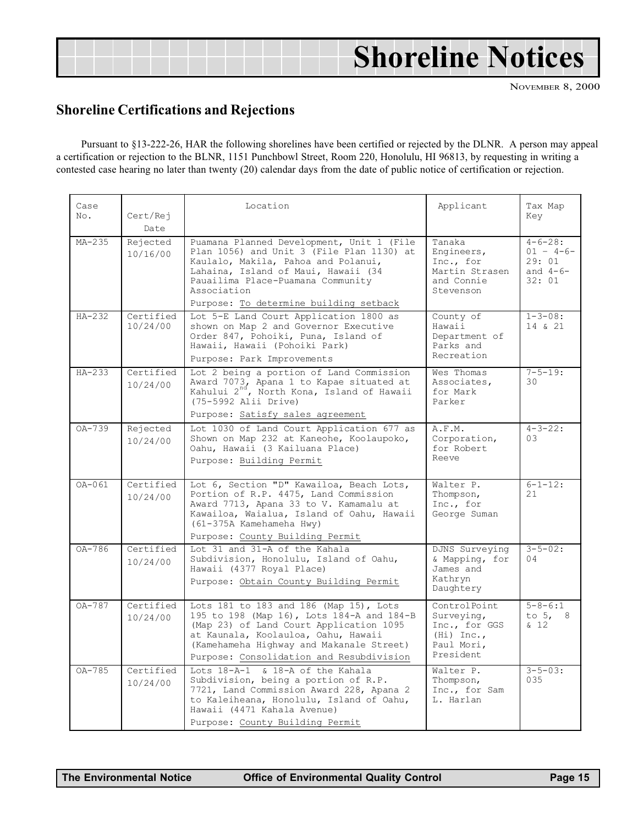# <span id="page-14-0"></span>Shoreline Notices

NOVEMBER 8, 2000

## Shoreline Certifications and Rejections

Pursuant to §13-222-26, HAR the following shorelines have been certified or rejected by the DLNR. A person may appeal a certification or rejection to the BLNR, 1151 Punchbowl Street, Room 220, Honolulu, HI 96813, by requesting in writing a contested case hearing no later than twenty (20) calendar days from the date of public notice of certification or rejection.

| Case<br>No. | Cert/Rej<br>Date      | Location                                                                                                                                                                                                                                                           | Applicant                                                                              | Tax Map<br>Key                                                  |
|-------------|-----------------------|--------------------------------------------------------------------------------------------------------------------------------------------------------------------------------------------------------------------------------------------------------------------|----------------------------------------------------------------------------------------|-----------------------------------------------------------------|
| $MA-235$    | Rejected<br>10/16/00  | Puamana Planned Development, Unit 1 (File<br>Plan 1056) and Unit 3 (File Plan 1130) at<br>Kaulalo, Makila, Pahoa and Polanui,<br>Lahaina, Island of Maui, Hawaii (34<br>Pauailima Place-Puamana Community<br>Association<br>Purpose: To determine building setback | Tanaka<br>Engineers,<br>Inc., for<br>Martin Strasen<br>and Connie<br>Stevenson         | $4 - 6 - 28:$<br>$01 - 4 - 6 -$<br>29:01<br>and $4-6-$<br>32:01 |
| $HA-232$    | Certified<br>10/24/00 | Lot 5-E Land Court Application 1800 as<br>shown on Map 2 and Governor Executive<br>Order 847, Pohoiki, Puna, Island of<br>Hawaii, Hawaii (Pohoiki Park)<br>Purpose: Park Improvements                                                                              | County of<br>Hawaii<br>Department of<br>Parks and<br>Recreation                        | $1 - 3 - 08:$<br>14 & 21                                        |
| $HA-233$    | Certified<br>10/24/00 | Lot 2 being a portion of Land Commission<br>Award 7073, Apana 1 to Kapae situated at Kahului $2^{nd}$ , North Kona, Island of Hawaii<br>(75-5992 Alii Drive)<br>Purpose: Satisfy sales agreement                                                                   | Wes Thomas<br>Associates,<br>for Mark<br>Parker                                        | $7 - 5 - 19:$<br>30                                             |
| OA-739      | Rejected<br>10/24/00  | Lot 1030 of Land Court Application 677 as<br>Shown on Map 232 at Kaneohe, Koolaupoko,<br>Oahu, Hawaii (3 Kailuana Place)<br>Purpose: Building Permit                                                                                                               | A.F.M.<br>Corporation,<br>for Robert<br>Reeve                                          | $4 - 3 - 22:$<br>0.3                                            |
| OA-061      | Certified<br>10/24/00 | Lot 6, Section "D" Kawailoa, Beach Lots,<br>Portion of R.P. 4475, Land Commission<br>Award 7713, Apana 33 to V. Kamamalu at<br>Kawailoa, Waialua, Island of Oahu, Hawaii<br>(61-375A Kamehameha Hwy)<br>Purpose: County Building Permit                            | Walter P.<br>Thompson,<br>Inc., for<br>George Suman                                    | $6 - 1 - 12:$<br>21                                             |
| $0A-786$    | Certified<br>10/24/00 | Lot 31 and 31-A of the Kahala<br>Subdivision, Honolulu, Island of Oahu,<br>Hawaii (4377 Royal Place)<br>Purpose: Obtain County Building Permit                                                                                                                     | DJNS Surveying<br>& Mapping, for<br>James and<br>Kathryn<br>Daughtery                  | $3 - 5 - 02:$<br>04                                             |
| $0A-787$    | Certified<br>10/24/00 | Lots 181 to 183 and 186 (Map 15), Lots<br>195 to 198 (Map 16), Lots 184-A and 184-B<br>(Map 23) of Land Court Application 1095<br>at Kaunala, Koolauloa, Oahu, Hawaii<br>(Kamehameha Highway and Makanale Street)<br>Purpose: Consolidation and Resubdivision      | ControlPoint<br>Surveying,<br>Inc., for GGS<br>$(Hi)$ Inc.,<br>Paul Mori,<br>President | $5 - 8 - 6:1$<br>to $5, 8$<br>& 12                              |
| OA-785      | Certified<br>10/24/00 | Lots 18-A-1 & 18-A of the Kahala<br>Subdivision, being a portion of R.P.<br>7721, Land Commission Award 228, Apana 2<br>to Kaleiheana, Honolulu, Island of Oahu,<br>Hawaii (4471 Kahala Avenue)<br>Purpose: County Building Permit                                 | Walter P.<br>Thompson,<br>Inc., for Sam<br>L. Harlan                                   | $3 - 5 - 03:$<br>0.35                                           |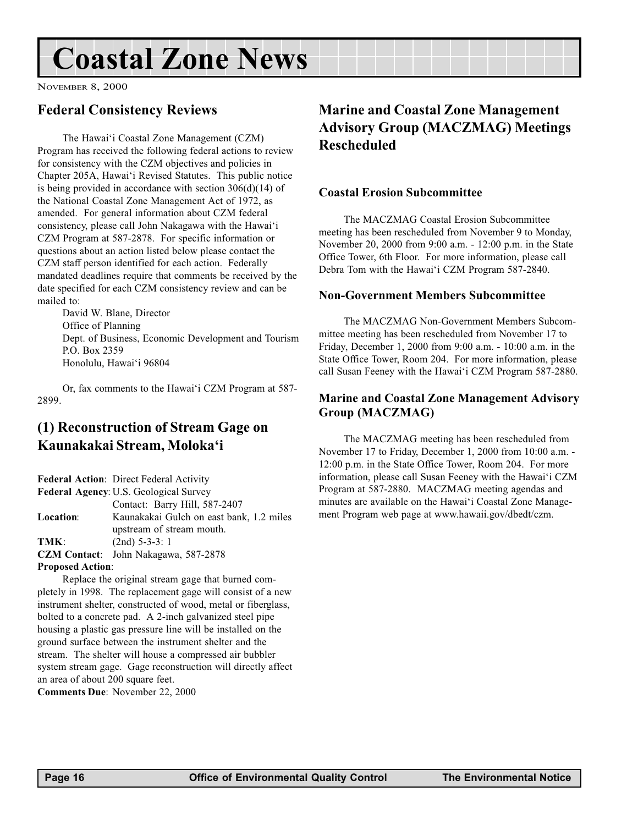# <span id="page-15-0"></span>Coastal Zone News

NOVEMBER 8, 2000

## Federal Consistency Reviews

The Hawai'i Coastal Zone Management (CZM) Program has received the following federal actions to review for consistency with the CZM objectives and policies in Chapter 205A, Hawai'i Revised Statutes. This public notice is being provided in accordance with section 306(d)(14) of the National Coastal Zone Management Act of 1972, as amended. For general information about CZM federal consistency, please call John Nakagawa with the Hawai'i CZM Program at 587-2878. For specific information or questions about an action listed below please contact the CZM staff person identified for each action. Federally mandated deadlines require that comments be received by the date specified for each CZM consistency review and can be mailed to:

David W. Blane, Director Office of Planning Dept. of Business, Economic Development and Tourism P.O. Box 2359 Honolulu, Hawai'i 96804

Or, fax comments to the Hawai'i CZM Program at 587-2899.

## (1) Reconstruction of Stream Gage on Kaunakakai Stream, Moloka'i

Federal Action: Direct Federal Activity Federal Agency: U.S. Geological Survey Contact: Barry Hill, 587-2407 Location: Kaunakakai Gulch on east bank, 1.2 miles upstream of stream mouth. TMK: (2nd) 5-3-3: 1 CZM Contact: John Nakagawa, 587-2878 Proposed Action:

Replace the original stream gage that burned completely in 1998. The replacement gage will consist of a new instrument shelter, constructed of wood, metal or fiberglass, bolted to a concrete pad. A 2-inch galvanized steel pipe housing a plastic gas pressure line will be installed on the ground surface between the instrument shelter and the stream. The shelter will house a compressed air bubbler system stream gage. Gage reconstruction will directly affect an area of about 200 square feet.

Comments Due: November 22, 2000

# Marine and Coastal Zone Management Advisory Group (MACZMAG) Meetings Rescheduled

#### Coastal Erosion Subcommittee

The MACZMAG Coastal Erosion Subcommittee meeting has been rescheduled from November 9 to Monday, November 20, 2000 from 9:00 a.m. - 12:00 p.m. in the State Office Tower, 6th Floor. For more information, please call Debra Tom with the Hawai'i CZM Program 587-2840.

#### Non-Government Members Subcommittee

The MACZMAG Non-Government Members Subcommittee meeting has been rescheduled from November 17 to Friday, December 1, 2000 from 9:00 a.m. - 10:00 a.m. in the State Office Tower, Room 204. For more information, please call Susan Feeney with the Hawai'i CZM Program 587-2880.

#### Marine and Coastal Zone Management Advisory Group (MACZMAG)

The MACZMAG meeting has been rescheduled from November 17 to Friday, December 1, 2000 from 10:00 a.m. - 12:00 p.m. in the State Office Tower, Room 204. For more information, please call Susan Feeney with the Hawai'i CZM Program at 587-2880. MACZMAG meeting agendas and minutes are available on the Hawai'i Coastal Zone Management Program web page at www.hawaii.gov/dbedt/czm.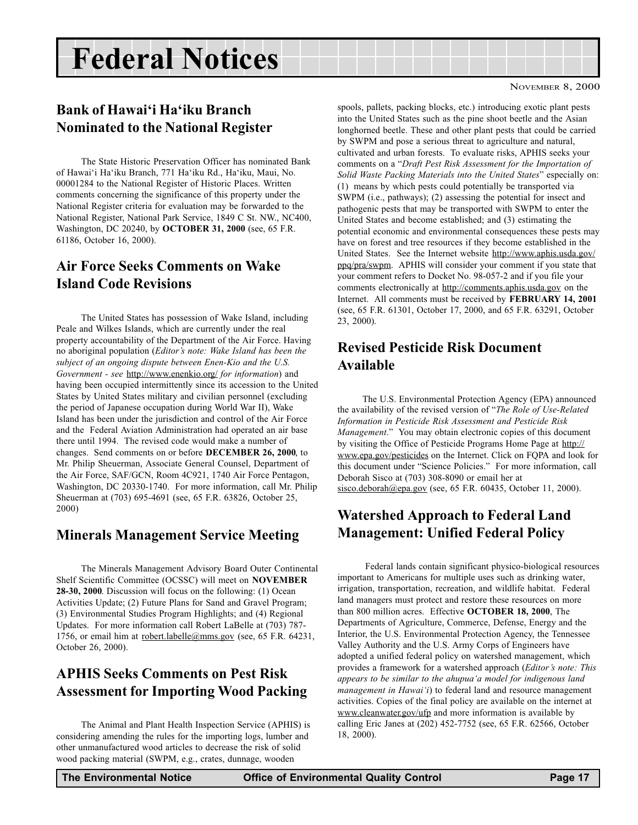# <span id="page-16-0"></span>Federal Notices

## Bank of Hawai'i Ha'iku Branch Nominated to the National Register

The State Historic Preservation Officer has nominated Bank of Hawai'i Ha'iku Branch, 771 Ha'iku Rd., Ha'iku, Maui, No. 00001284 to the National Register of Historic Places. Written comments concerning the significance of this property under the National Register criteria for evaluation may be forwarded to the National Register, National Park Service, 1849 C St. NW., NC400, Washington, DC 20240, by OCTOBER 31, 2000 (see, 65 F.R. 61186, October 16, 2000).

### Air Force Seeks Comments on Wake Island Code Revisions

The United States has possession of Wake Island, including Peale and Wilkes Islands, which are currently under the real property accountability of the Department of the Air Force. Having no aboriginal population (Editor's note: Wake Island has been the subject of an ongoing dispute between Enen-Kio and the U.S. Government - see http://www.enenkio.org/ for information) and having been occupied intermittently since its accession to the United States by United States military and civilian personnel (excluding the period of Japanese occupation during World War II), Wake Island has been under the jurisdiction and control of the Air Force and the Federal Aviation Administration had operated an air base there until 1994. The revised code would make a number of changes. Send comments on or before DECEMBER 26, 2000, to Mr. Philip Sheuerman, Associate General Counsel, Department of the Air Force, SAF/GCN, Room 4C921, 1740 Air Force Pentagon, Washington, DC 20330-1740. For more information, call Mr. Philip Sheuerman at (703) 695-4691 (see, 65 F.R. 63826, October 25, 2000)

### Minerals Management Service Meeting

The Minerals Management Advisory Board Outer Continental Shelf Scientific Committee (OCSSC) will meet on NOVEMBER 28-30, 2000. Discussion will focus on the following: (1) Ocean Activities Update; (2) Future Plans for Sand and Gravel Program; (3) Environmental Studies Program Highlights; and (4) Regional Updates. For more information call Robert LaBelle at (703) 787- 1756, or email him at robert.labelle@mms.gov (see, 65 F.R. 64231, October 26, 2000).

### APHIS Seeks Comments on Pest Risk Assessment for Importing Wood Packing

The Animal and Plant Health Inspection Service (APHIS) is considering amending the rules for the importing logs, lumber and other unmanufactured wood articles to decrease the risk of solid wood packing material (SWPM, e.g., crates, dunnage, wooden

spools, pallets, packing blocks, etc.) introducing exotic plant pests into the United States such as the pine shoot beetle and the Asian longhorned beetle. These and other plant pests that could be carried by SWPM and pose a serious threat to agriculture and natural, cultivated and urban forests. To evaluate risks, APHIS seeks your comments on a "Draft Pest Risk Assessment for the Importation of Solid Waste Packing Materials into the United States" especially on: (1) means by which pests could potentially be transported via SWPM (i.e., pathways); (2) assessing the potential for insect and pathogenic pests that may be transported with SWPM to enter the United States and become established; and (3) estimating the potential economic and environmental consequences these pests may have on forest and tree resources if they become established in the United States. See the Internet website http://www.aphis.usda.gov/ ppq/pra/swpm. APHIS will consider your comment if you state that your comment refers to Docket No. 98-057-2 and if you file your comments electronically at http://comments.aphis.usda.gov on the Internet. All comments must be received by FEBRUARY 14, 2001 (see, 65 F.R. 61301, October 17, 2000, and 65 F.R. 63291, October 23, 2000).

### Revised Pesticide Risk Document Available

The U.S. Environmental Protection Agency (EPA) announced the availability of the revised version of "The Role of Use-Related" Information in Pesticide Risk Assessment and Pesticide Risk Management." You may obtain electronic copies of this document by visiting the Office of Pesticide Programs Home Page at http:// www.epa.gov/pesticides on the Internet. Click on FQPA and look for this document under "Science Policies." For more information, call Deborah Sisco at (703) 308-8090 or email her at sisco.deborah@epa.gov (see, 65 F.R. 60435, October 11, 2000).

## Watershed Approach to Federal Land Management: Unified Federal Policy

 Federal lands contain significant physico-biological resources important to Americans for multiple uses such as drinking water, irrigation, transportation, recreation, and wildlife habitat. Federal land managers must protect and restore these resources on more than 800 million acres. Effective OCTOBER 18, 2000, The Departments of Agriculture, Commerce, Defense, Energy and the Interior, the U.S. Environmental Protection Agency, the Tennessee Valley Authority and the U.S. Army Corps of Engineers have adopted a unified federal policy on watershed management, which provides a framework for a watershed approach (Editor's note: This appears to be similar to the ahupua'a model for indigenous land management in Hawai'i) to federal land and resource management activities. Copies of the final policy are available on the internet at www.cleanwater.gov/ufp and more information is available by calling Eric Janes at (202) 452-7752 (see, 65 F.R. 62566, October 18, 2000).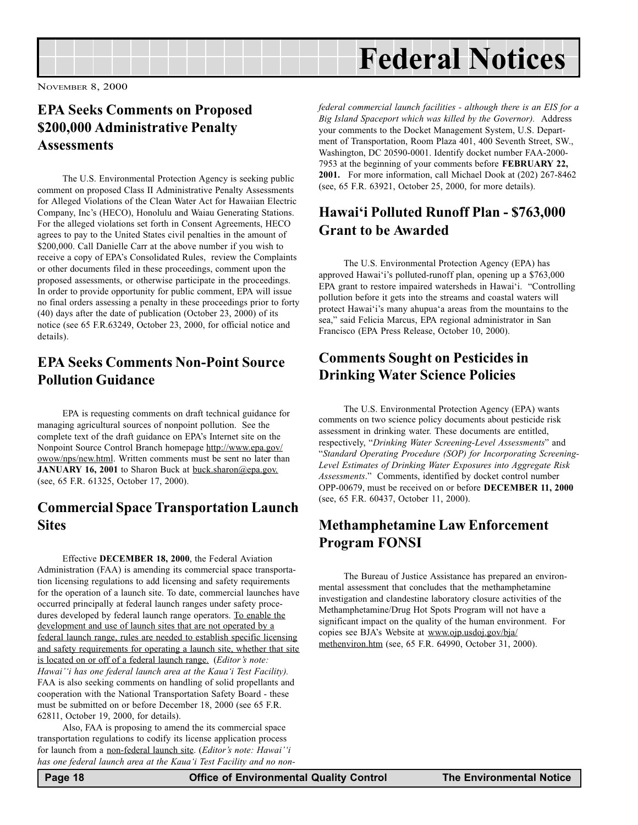<span id="page-17-0"></span>

## EPA Seeks Comments on Proposed \$200,000 Administrative Penalty **Assessments**

The U.S. Environmental Protection Agency is seeking public comment on proposed Class II Administrative Penalty Assessments for Alleged Violations of the Clean Water Act for Hawaiian Electric Company, Inc's (HECO), Honolulu and Waiau Generating Stations. For the alleged violations set forth in Consent Agreements, HECO agrees to pay to the United States civil penalties in the amount of \$200,000. Call Danielle Carr at the above number if you wish to receive a copy of EPA's Consolidated Rules, review the Complaints or other documents filed in these proceedings, comment upon the proposed assessments, or otherwise participate in the proceedings. In order to provide opportunity for public comment, EPA will issue no final orders assessing a penalty in these proceedings prior to forty (40) days after the date of publication (October 23, 2000) of its notice (see 65 F.R.63249, October 23, 2000, for official notice and details).

## EPA Seeks Comments Non-Point Source Pollution Guidance

EPA is requesting comments on draft technical guidance for managing agricultural sources of nonpoint pollution. See the complete text of the draft guidance on EPA's Internet site on the Nonpoint Source Control Branch homepage http://www.epa.gov/ owow/nps/new.html. Written comments must be sent no later than JANUARY 16, 2001 to Sharon Buck at buck.sharon@epa.gov. (see, 65 F.R. 61325, October 17, 2000).

### Commercial Space Transportation Launch **Sites**

Effective DECEMBER 18, 2000, the Federal Aviation Administration (FAA) is amending its commercial space transportation licensing regulations to add licensing and safety requirements for the operation of a launch site. To date, commercial launches have occurred principally at federal launch ranges under safety procedures developed by federal launch range operators. To enable the development and use of launch sites that are not operated by a federal launch range, rules are needed to establish specific licensing and safety requirements for operating a launch site, whether that site is located on or off of a federal launch range. (Editor's note: Hawai'' has one federal launch area at the Kaua'i Test Facility). FAA is also seeking comments on handling of solid propellants and cooperation with the National Transportation Safety Board - these must be submitted on or before December 18, 2000 (see 65 F.R. 62811, October 19, 2000, for details).

Also, FAA is proposing to amend the its commercial space transportation regulations to codify its license application process for launch from a non-federal launch site. (Editor's note: Hawai'i has one federal launch area at the Kaua'i Test Facility and no nonfederal commercial launch facilities - although there is an EIS for a Big Island Spaceport which was killed by the Governor). Address your comments to the Docket Management System, U.S. Department of Transportation, Room Plaza 401, 400 Seventh Street, SW., Washington, DC 20590-0001. Identify docket number FAA-2000- 7953 at the beginning of your comments before FEBRUARY 22, 2001. For more information, call Michael Dook at (202) 267-8462 (see, 65 F.R. 63921, October 25, 2000, for more details).

## Hawai'i Polluted Runoff Plan - \$763,000 Grant to be Awarded

The U.S. Environmental Protection Agency (EPA) has approved Hawai'i's polluted-runoff plan, opening up a  $$763,000$ EPA grant to restore impaired watersheds in Hawai'i. "Controlling pollution before it gets into the streams and coastal waters will protect Hawai'i's many ahupua'a areas from the mountains to the sea," said Felicia Marcus, EPA regional administrator in San Francisco (EPA Press Release, October 10, 2000).

### Comments Sought on Pesticides in Drinking Water Science Policies

The U.S. Environmental Protection Agency (EPA) wants comments on two science policy documents about pesticide risk assessment in drinking water. These documents are entitled, respectively, "Drinking Water Screening-Level Assessments" and Standard Operating Procedure (SOP) for Incorporating Screening-Level Estimates of Drinking Water Exposures into Aggregate Risk Assessments." Comments, identified by docket control number OPP-00679, must be received on or before DECEMBER 11, 2000 (see, 65 F.R. 60437, October 11, 2000).

## Methamphetamine Law Enforcement Program FONSI

The Bureau of Justice Assistance has prepared an environmental assessment that concludes that the methamphetamine investigation and clandestine laboratory closure activities of the Methamphetamine/Drug Hot Spots Program will not have a significant impact on the quality of the human environment. For copies see BJA's Website at www.oip.usdoj.gov/bja/ methenviron.htm (see, 65 F.R. 64990, October 31, 2000).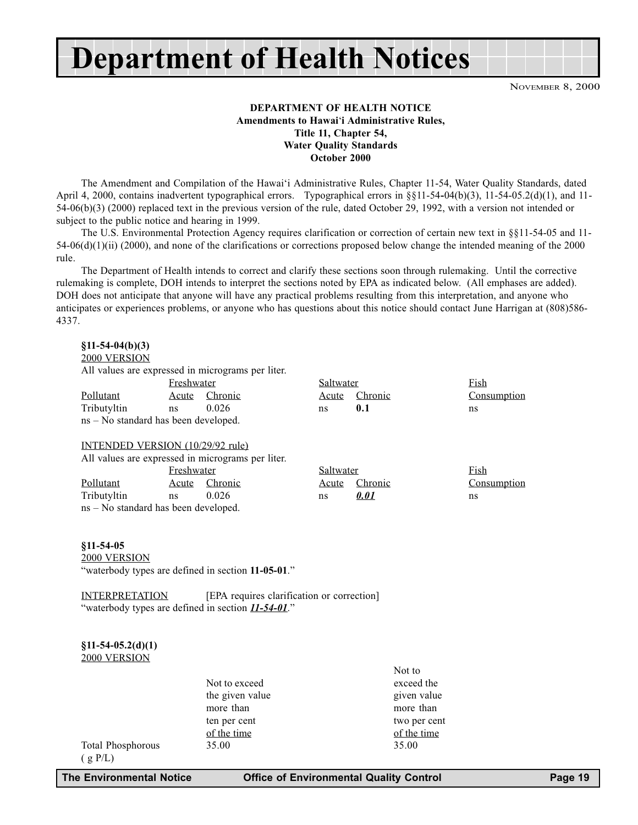Department of Health Notices

NOVEMBER 8, 2000

#### DEPARTMENT OF HEALTH NOTICE Amendments to Hawai'i Administrative Rules, Title 11, Chapter 54, Water Quality Standards October 2000

The Amendment and Compilation of the Hawai'i Administrative Rules, Chapter 11-54, Water Quality Standards, dated April 4, 2000, contains inadvertent typographical errors. Typographical errors in §§11-54-04(b)(3), 11-54-05.2(d)(1), and 11-54-06(b)(3) (2000) replaced text in the previous version of the rule, dated October 29, 1992, with a version not intended or subject to the public notice and hearing in 1999.

The U.S. Environmental Protection Agency requires clarification or correction of certain new text in §§11-54-05 and 11- 54-06(d)(1)(ii) (2000), and none of the clarifications or corrections proposed below change the intended meaning of the 2000 rule.

The Department of Health intends to correct and clarify these sections soon through rulemaking. Until the corrective rulemaking is complete, DOH intends to interpret the sections noted by EPA as indicated below. (All emphases are added). DOH does not anticipate that anyone will have any practical problems resulting from this interpretation, and anyone who anticipates or experiences problems, or anyone who has questions about this notice should contact June Harrigan at (808)586- 4337.

#### $§11-54-04(b)(3)$

#### 2000 VERSION

All values are expressed in micrograms per liter.

|                                        | Freshwater |               | Saltwater |               | Fish        |
|----------------------------------------|------------|---------------|-----------|---------------|-------------|
| Pollutant                              |            | Acute Chronic |           | Acute Chronic | Consumption |
| Tributyltin                            | ns         | 0.026         | ns        | 0.1           | ns          |
| $ns - No standard has been developed.$ |            |               |           |               |             |

#### INTENDED VERSION (10/29/92 rule)

All values are expressed in micrograms per liter. Freshwater Saltwater Fish Pollutant Acute Chronic Acute Chronic Consumption Tributyltin ns 0.026 ns 0.01 ns ns  $ns - No standard has been developed.$ 

#### §11-54-05

2000 VERSION

"waterbody types are defined in section 11-05-01."

INTERPRETATION [EPA requires clarification or correction] "waterbody types are defined in section **11-54-01**."

#### $§11-54-05.2(d)(1)$ 2000 VERSION

|                 | Not to       |
|-----------------|--------------|
| Not to exceed   | exceed the   |
| the given value | given value  |
| more than       | more than    |
| ten per cent    | two per cent |
| of the time     | of the time  |
| 35.00           | 35.00        |
|                 |              |
|                 |              |

Total Phosphorous

 $(g P/L)$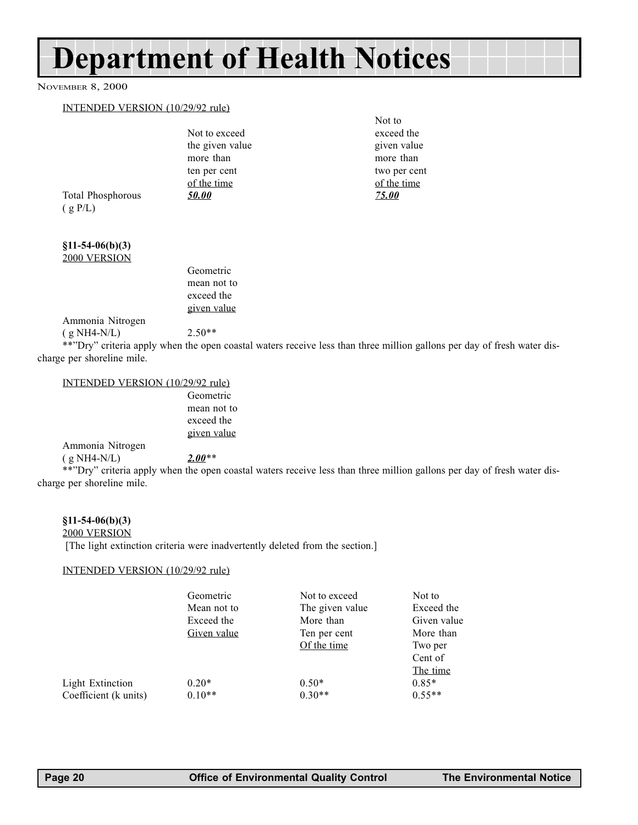# Department of Health Notices

#### NOVEMBER 8, 2000

#### INTENDED VERSION (10/29/92 rule)

|                          | Not to exceed   | exceed the   |
|--------------------------|-----------------|--------------|
|                          | the given value | given value  |
|                          | more than       | more than    |
|                          | ten per cent    | two per cent |
|                          | of the time     | of the time  |
| <b>Total Phosphorous</b> | <b>50.00</b>    | <u>75.00</u> |
| (g P/L)                  |                 |              |
|                          |                 |              |
|                          |                 |              |

§11-54-06(b)(3) 2000 VERSION

| Geometric   |
|-------------|
| mean not to |
| exceed the  |
| given value |

Ammonia Nitrogen  $(g NHA-N/L)$  2.50\*\*

\*\*"Dry" criteria apply when the open coastal waters receive less than three million gallons per day of fresh water discharge per shoreline mile.

Not to

#### INTENDED VERSION (10/29/92 rule)

Geometric mean not to exceed the given value

#### Ammonia Nitrogen ( g NH4-N/L)  $2.00**$

\*\*Dry criteria apply when the open coastal waters receive less than three million gallons per day of fresh water discharge per shoreline mile.

#### §11-54-06(b)(3)

2000 VERSION

[The light extinction criteria were inadvertently deleted from the section.]

#### INTENDED VERSION (10/29/92 rule)

|                         | Geometric<br>Mean not to | Not to exceed<br>The given value | Not to<br>Exceed the |
|-------------------------|--------------------------|----------------------------------|----------------------|
|                         | Exceed the               | More than                        | Given value          |
|                         | Given value              | Ten per cent                     | More than            |
|                         |                          | Of the time                      | Two per              |
|                         |                          |                                  | Cent of              |
|                         |                          |                                  | The time             |
| <b>Light Extinction</b> | $0.20*$                  | $0.50*$                          | $0.85*$              |
| Coefficient (k units)   | $0.10**$                 | $0.30**$                         | $0.55**$             |
|                         |                          |                                  |                      |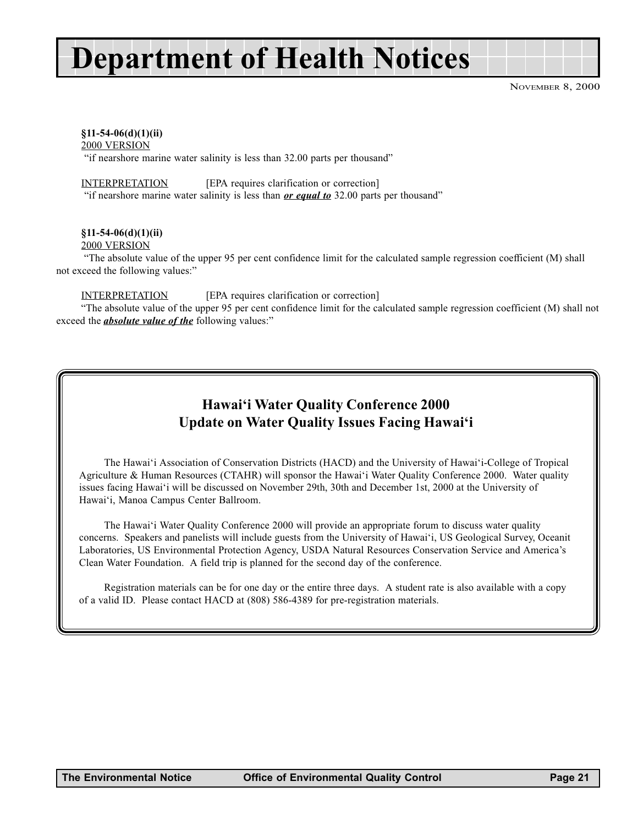# Department of Health Notices

NOVEMBER 8, 2000

#### $§11-54-06(d)(1)(ii)$

2000 VERSION

"if nearshore marine water salinity is less than 32.00 parts per thousand"

INTERPRETATION [EPA requires clarification or correction]

"if nearshore marine water salinity is less than  $or$  equal to 32.00 parts per thousand"

#### §11-54-06(d)(1)(ii)

#### 2000 VERSION

 The absolute value of the upper 95 per cent confidence limit for the calculated sample regression coefficient (M) shall not exceed the following values:

#### INTERPRETATION [EPA requires clarification or correction]

The absolute value of the upper 95 per cent confidence limit for the calculated sample regression coefficient (M) shall not exceed the *absolute value of the* following values:"

## Hawai'i Water Quality Conference 2000 Update on Water Quality Issues Facing Hawai'i

The Hawai'i Association of Conservation Districts (HACD) and the University of Hawai'i-College of Tropical Agriculture & Human Resources (CTAHR) will sponsor the Hawai'i Water Quality Conference 2000. Water quality issues facing Hawai'i will be discussed on November 29th, 30th and December 1st, 2000 at the University of Hawai'i, Manoa Campus Center Ballroom.

The Hawai'i Water Quality Conference 2000 will provide an appropriate forum to discuss water quality concerns. Speakers and panelists will include guests from the University of Hawai'i, US Geological Survey, Oceanit Laboratories, US Environmental Protection Agency, USDA Natural Resources Conservation Service and America's Clean Water Foundation. A field trip is planned for the second day of the conference.

Registration materials can be for one day or the entire three days. A student rate is also available with a copy of a valid ID. Please contact HACD at (808) 586-4389 for pre-registration materials.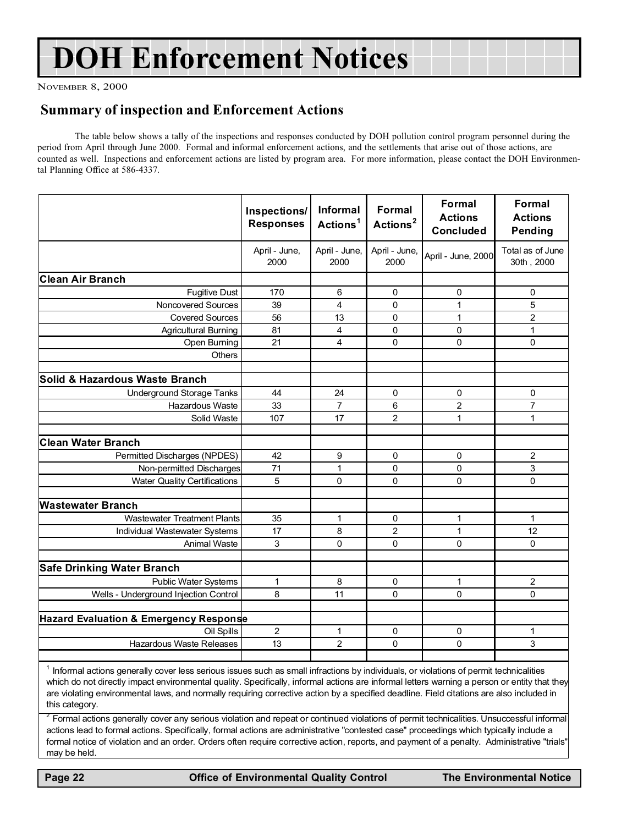# DOH Enforcement Notices

NOVEMBER 8, 2000

### Summary of inspection and Enforcement Actions

The table below shows a tally of the inspections and responses conducted by DOH pollution control program personnel during the period from April through June 2000. Formal and informal enforcement actions, and the settlements that arise out of those actions, are counted as well. Inspections and enforcement actions are listed by program area. For more information, please contact the DOH Environmental Planning Office at 586-4337.

|                                        | Inspections/<br><b>Responses</b> | <b>Informal</b><br>Actions <sup>1</sup> | <b>Formal</b><br>Actions <sup>2</sup> | <b>Formal</b><br><b>Actions</b><br><b>Concluded</b> | <b>Formal</b><br><b>Actions</b><br>Pending |
|----------------------------------------|----------------------------------|-----------------------------------------|---------------------------------------|-----------------------------------------------------|--------------------------------------------|
|                                        | April - June,<br>2000            | April - June,<br>2000                   | April - June,<br>2000                 | April - June, 2000                                  | Total as of June<br>30th, 2000             |
| <b>Clean Air Branch</b>                |                                  |                                         |                                       |                                                     |                                            |
| <b>Fugitive Dust</b>                   | 170                              | 6                                       | 0                                     | 0                                                   | 0                                          |
| Noncovered Sources                     | 39                               | 4                                       | 0                                     | $\mathbf{1}$                                        | 5                                          |
| <b>Covered Sources</b>                 | 56                               | 13                                      | 0                                     | $\mathbf{1}$                                        | $\overline{c}$                             |
| <b>Agricultural Burning</b>            | 81                               | 4                                       | $\mathbf{0}$                          | $\Omega$                                            | $\mathbf{1}$                               |
| Open Burning                           | 21                               | 4                                       | $\Omega$                              | $\Omega$                                            | $\Omega$                                   |
| Others                                 |                                  |                                         |                                       |                                                     |                                            |
| Solid & Hazardous Waste Branch         |                                  |                                         |                                       |                                                     |                                            |
| Underground Storage Tanks              | 44                               | 24                                      | 0                                     | 0                                                   | 0                                          |
| Hazardous Waste                        | 33                               | $\overline{7}$                          | 6                                     | $\overline{2}$                                      | $\overline{7}$                             |
| Solid Waste                            | 107                              | 17                                      | $\overline{2}$                        | 1                                                   | $\mathbf{1}$                               |
|                                        |                                  |                                         |                                       |                                                     |                                            |
| <b>Clean Water Branch</b>              |                                  |                                         |                                       |                                                     |                                            |
| Permitted Discharges (NPDES)           | 42                               | 9                                       | 0                                     | 0                                                   | $\overline{c}$                             |
| Non-permitted Discharges               | 71                               | $\mathbf{1}$                            | 0                                     | $\Omega$                                            | 3                                          |
| <b>Water Quality Certifications</b>    | 5                                | $\Omega$                                | $\Omega$                              | $\Omega$                                            | $\Omega$                                   |
| <b>Wastewater Branch</b>               |                                  |                                         |                                       |                                                     |                                            |
| <b>Wastewater Treatment Plants</b>     | 35                               | 1                                       | 0                                     | 1                                                   | 1                                          |
| Individual Wastewater Systems          | 17                               | 8                                       | 2                                     | 1                                                   | 12                                         |
| <b>Animal Waste</b>                    | 3                                | 0                                       | 0                                     | $\Omega$                                            | $\Omega$                                   |
|                                        |                                  |                                         |                                       |                                                     |                                            |
| <b>Safe Drinking Water Branch</b>      |                                  |                                         |                                       |                                                     |                                            |
| <b>Public Water Systems</b>            | 1                                | 8                                       | 0                                     | $\mathbf{1}$                                        | $\overline{c}$                             |
| Wells - Underground Injection Control  | 8                                | 11                                      | $\Omega$                              | $\mathbf{0}$                                        | 0                                          |
|                                        |                                  |                                         |                                       |                                                     |                                            |
| Hazard Evaluation & Emergency Response |                                  |                                         |                                       |                                                     |                                            |
| Oil Spills                             | $\overline{c}$                   | 1                                       | 0                                     | 0                                                   | $\mathbf 1$                                |
| Hazardous Waste Releases               | 13                               | $\overline{2}$                          | $\Omega$                              | $\mathbf{0}$                                        | 3                                          |
|                                        |                                  |                                         |                                       |                                                     |                                            |

<sup>1</sup> Informal actions generally cover less serious issues such as small infractions by individuals, or violations of permit technicalities which do not directly impact environmental quality. Specifically, informal actions are informal letters warning a person or entity that they are violating environmental laws, and normally requiring corrective action by a specified deadline. Field citations are also included in this category.

 $2$  Formal actions generally cover any serious violation and repeat or continued violations of permit technicalities. Unsuccessful informal actions lead to formal actions. Specifically, formal actions are administrative "contested case" proceedings which typically include a formal notice of violation and an order. Orders often require corrective action, reports, and payment of a penalty. Administrative "trials" may be held.

Page 22 **Office of Environmental Quality Control** The Environmental Notice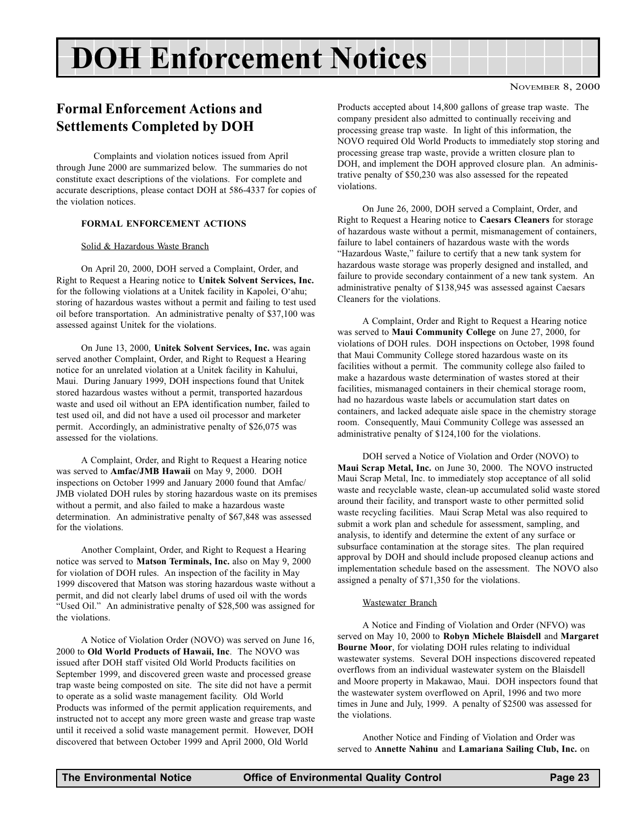# DOH Enforcement Notices

# Formal Enforcement Actions and Settlements Completed by DOH

Complaints and violation notices issued from April through June 2000 are summarized below. The summaries do not constitute exact descriptions of the violations. For complete and accurate descriptions, please contact DOH at 586-4337 for copies of the violation notices.

#### FORMAL ENFORCEMENT ACTIONS

#### Solid & Hazardous Waste Branch

On April 20, 2000, DOH served a Complaint, Order, and Right to Request a Hearing notice to Unitek Solvent Services, Inc. for the following violations at a Unitek facility in Kapolei, O'ahu; storing of hazardous wastes without a permit and failing to test used oil before transportation. An administrative penalty of \$37,100 was assessed against Unitek for the violations.

On June 13, 2000, Unitek Solvent Services, Inc. was again served another Complaint, Order, and Right to Request a Hearing notice for an unrelated violation at a Unitek facility in Kahului, Maui. During January 1999, DOH inspections found that Unitek stored hazardous wastes without a permit, transported hazardous waste and used oil without an EPA identification number, failed to test used oil, and did not have a used oil processor and marketer permit. Accordingly, an administrative penalty of \$26,075 was assessed for the violations.

A Complaint, Order, and Right to Request a Hearing notice was served to Amfac/JMB Hawaii on May 9, 2000. DOH inspections on October 1999 and January 2000 found that Amfac/ JMB violated DOH rules by storing hazardous waste on its premises without a permit, and also failed to make a hazardous waste determination. An administrative penalty of \$67,848 was assessed for the violations.

Another Complaint, Order, and Right to Request a Hearing notice was served to Matson Terminals, Inc. also on May 9, 2000 for violation of DOH rules. An inspection of the facility in May 1999 discovered that Matson was storing hazardous waste without a permit, and did not clearly label drums of used oil with the words "Used Oil." An administrative penalty of \$28,500 was assigned for the violations.

A Notice of Violation Order (NOVO) was served on June 16, 2000 to Old World Products of Hawaii, Inc. The NOVO was issued after DOH staff visited Old World Products facilities on September 1999, and discovered green waste and processed grease trap waste being composted on site. The site did not have a permit to operate as a solid waste management facility. Old World Products was informed of the permit application requirements, and instructed not to accept any more green waste and grease trap waste until it received a solid waste management permit. However, DOH discovered that between October 1999 and April 2000, Old World

Products accepted about 14,800 gallons of grease trap waste. The company president also admitted to continually receiving and processing grease trap waste. In light of this information, the NOVO required Old World Products to immediately stop storing and processing grease trap waste, provide a written closure plan to DOH, and implement the DOH approved closure plan. An administrative penalty of \$50,230 was also assessed for the repeated violations.

On June 26, 2000, DOH served a Complaint, Order, and Right to Request a Hearing notice to Caesars Cleaners for storage of hazardous waste without a permit, mismanagement of containers, failure to label containers of hazardous waste with the words "Hazardous Waste," failure to certify that a new tank system for hazardous waste storage was properly designed and installed, and failure to provide secondary containment of a new tank system. An administrative penalty of \$138,945 was assessed against Caesars Cleaners for the violations.

A Complaint, Order and Right to Request a Hearing notice was served to Maui Community College on June 27, 2000, for violations of DOH rules. DOH inspections on October, 1998 found that Maui Community College stored hazardous waste on its facilities without a permit. The community college also failed to make a hazardous waste determination of wastes stored at their facilities, mismanaged containers in their chemical storage room, had no hazardous waste labels or accumulation start dates on containers, and lacked adequate aisle space in the chemistry storage room. Consequently, Maui Community College was assessed an administrative penalty of \$124,100 for the violations.

DOH served a Notice of Violation and Order (NOVO) to Maui Scrap Metal, Inc. on June 30, 2000. The NOVO instructed Maui Scrap Metal, Inc. to immediately stop acceptance of all solid waste and recyclable waste, clean-up accumulated solid waste stored around their facility, and transport waste to other permitted solid waste recycling facilities. Maui Scrap Metal was also required to submit a work plan and schedule for assessment, sampling, and analysis, to identify and determine the extent of any surface or subsurface contamination at the storage sites. The plan required approval by DOH and should include proposed cleanup actions and implementation schedule based on the assessment. The NOVO also assigned a penalty of \$71,350 for the violations.

#### Wastewater Branch

A Notice and Finding of Violation and Order (NFVO) was served on May 10, 2000 to Robyn Michele Blaisdell and Margaret Bourne Moor, for violating DOH rules relating to individual wastewater systems. Several DOH inspections discovered repeated overflows from an individual wastewater system on the Blaisdell and Moore property in Makawao, Maui. DOH inspectors found that the wastewater system overflowed on April, 1996 and two more times in June and July, 1999. A penalty of \$2500 was assessed for the violations.

Another Notice and Finding of Violation and Order was served to Annette Nahinu and Lamariana Sailing Club, Inc. on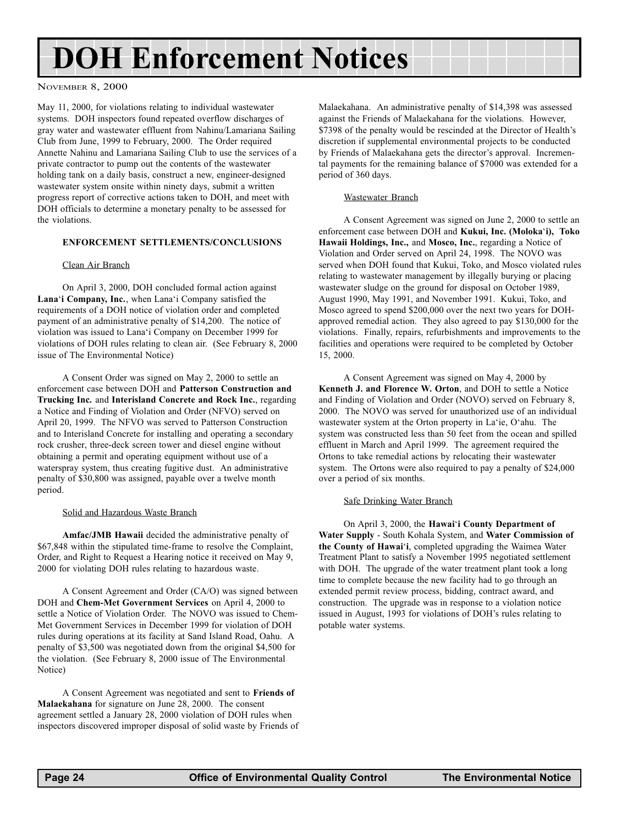# <span id="page-23-0"></span>DOH Enforcement Notices

#### NOVEMBER 8, 2000

May 11, 2000, for violations relating to individual wastewater systems. DOH inspectors found repeated overflow discharges of gray water and wastewater effluent from Nahinu/Lamariana Sailing Club from June, 1999 to February, 2000. The Order required Annette Nahinu and Lamariana Sailing Club to use the services of a private contractor to pump out the contents of the wastewater holding tank on a daily basis, construct a new, engineer-designed wastewater system onsite within ninety days, submit a written progress report of corrective actions taken to DOH, and meet with DOH officials to determine a monetary penalty to be assessed for the violations.

#### ENFORCEMENT SETTLEMENTS/CONCLUSIONS

#### Clean Air Branch

On April 3, 2000, DOH concluded formal action against Lana'i Company, Inc., when Lana'i Company satisfied the requirements of a DOH notice of violation order and completed payment of an administrative penalty of \$14,200. The notice of violation was issued to Lana'i Company on December 1999 for violations of DOH rules relating to clean air. (See February 8, 2000 issue of The Environmental Notice)

A Consent Order was signed on May 2, 2000 to settle an enforcement case between DOH and Patterson Construction and Trucking Inc. and Interisland Concrete and Rock Inc., regarding a Notice and Finding of Violation and Order (NFVO) served on April 20, 1999. The NFVO was served to Patterson Construction and to Interisland Concrete for installing and operating a secondary rock crusher, three-deck screen tower and diesel engine without obtaining a permit and operating equipment without use of a waterspray system, thus creating fugitive dust. An administrative penalty of \$30,800 was assigned, payable over a twelve month period.

#### Solid and Hazardous Waste Branch

Amfac/JMB Hawaii decided the administrative penalty of \$67,848 within the stipulated time-frame to resolve the Complaint, Order, and Right to Request a Hearing notice it received on May 9, 2000 for violating DOH rules relating to hazardous waste.

A Consent Agreement and Order (CA/O) was signed between DOH and Chem-Met Government Services on April 4, 2000 to settle a Notice of Violation Order. The NOVO was issued to Chem-Met Government Services in December 1999 for violation of DOH rules during operations at its facility at Sand Island Road, Oahu. A penalty of \$3,500 was negotiated down from the original \$4,500 for the violation. (See February 8, 2000 issue of The Environmental Notice)

A Consent Agreement was negotiated and sent to Friends of Malaekahana for signature on June 28, 2000. The consent agreement settled a January 28, 2000 violation of DOH rules when inspectors discovered improper disposal of solid waste by Friends of

Malaekahana. An administrative penalty of \$14,398 was assessed against the Friends of Malaekahana for the violations. However, \$7398 of the penalty would be rescinded at the Director of Health's discretion if supplemental environmental projects to be conducted by Friends of Malaekahana gets the director's approval. Incremental payments for the remaining balance of \$7000 was extended for a period of 360 days.

#### Wastewater Branch

A Consent Agreement was signed on June 2, 2000 to settle an enforcement case between DOH and Kukui, Inc. (Moloka'i), Toko Hawaii Holdings, Inc., and Mosco, Inc., regarding a Notice of Violation and Order served on April 24, 1998. The NOVO was served when DOH found that Kukui, Toko, and Mosco violated rules relating to wastewater management by illegally burying or placing wastewater sludge on the ground for disposal on October 1989, August 1990, May 1991, and November 1991. Kukui, Toko, and Mosco agreed to spend \$200,000 over the next two years for DOHapproved remedial action. They also agreed to pay \$130,000 for the violations. Finally, repairs, refurbishments and improvements to the facilities and operations were required to be completed by October 15, 2000.

A Consent Agreement was signed on May 4, 2000 by Kenneth J. and Florence W. Orton, and DOH to settle a Notice and Finding of Violation and Order (NOVO) served on February 8, 2000. The NOVO was served for unauthorized use of an individual wastewater system at the Orton property in La'ie, O'ahu. The system was constructed less than 50 feet from the ocean and spilled effluent in March and April 1999. The agreement required the Ortons to take remedial actions by relocating their wastewater system. The Ortons were also required to pay a penalty of \$24,000 over a period of six months.

#### Safe Drinking Water Branch

On April 3, 2000, the Hawai'i County Department of Water Supply - South Kohala System, and Water Commission of the County of Hawai'i, completed upgrading the Waimea Water Treatment Plant to satisfy a November 1995 negotiated settlement with DOH. The upgrade of the water treatment plant took a long time to complete because the new facility had to go through an extended permit review process, bidding, contract award, and construction. The upgrade was in response to a violation notice issued in August, 1993 for violations of DOH's rules relating to potable water systems.